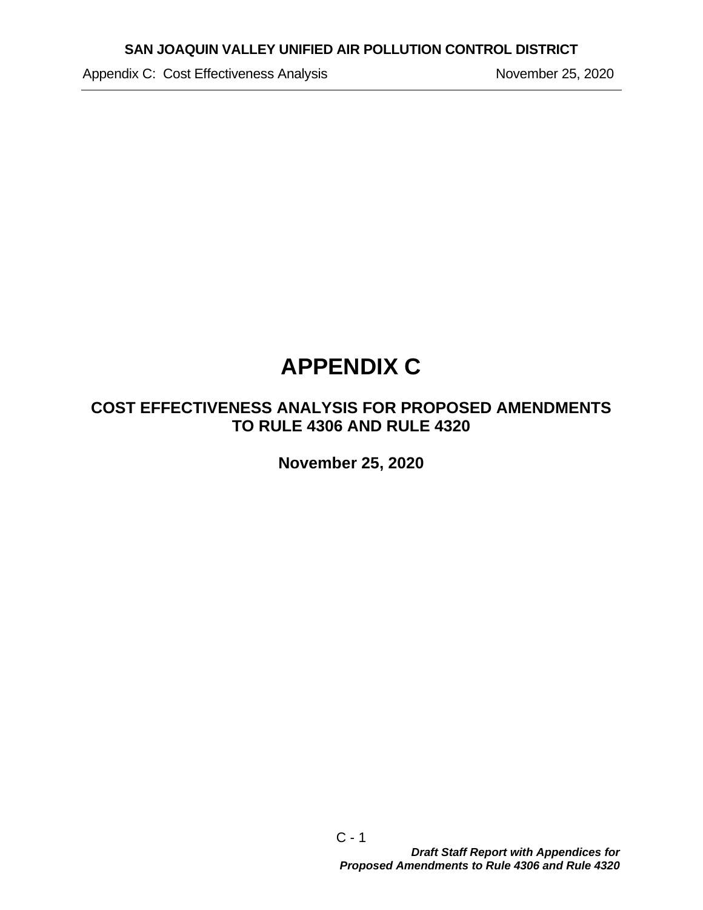# **APPENDIX C**

# **COST EFFECTIVENESS ANALYSIS FOR PROPOSED AMENDMENTS TO RULE 4306 AND RULE 4320**

**November 25, 2020**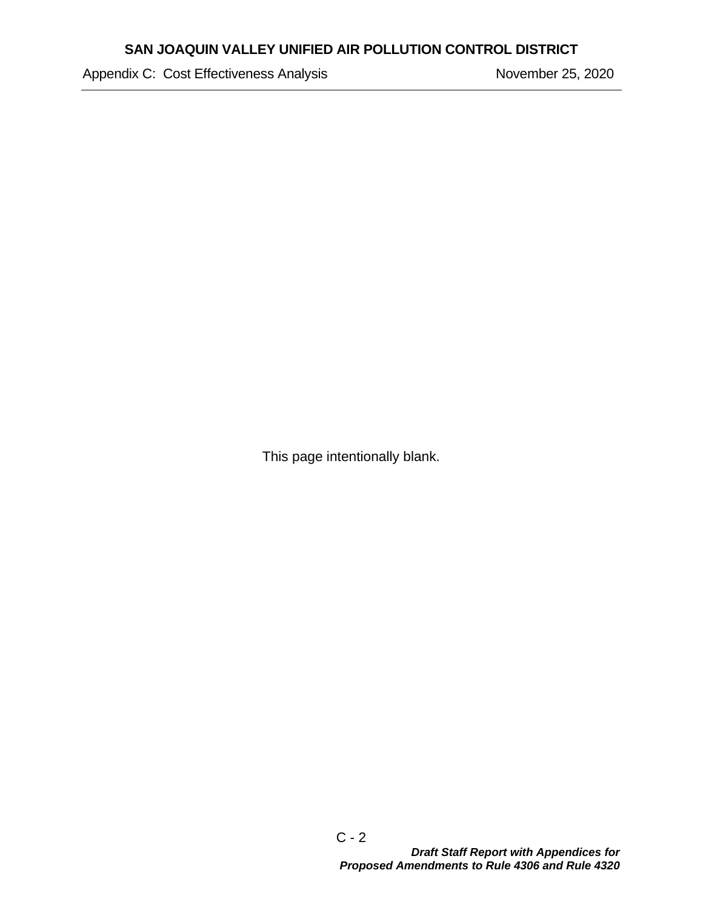Appendix C: Cost Effectiveness Analysis November 25, 2020

This page intentionally blank.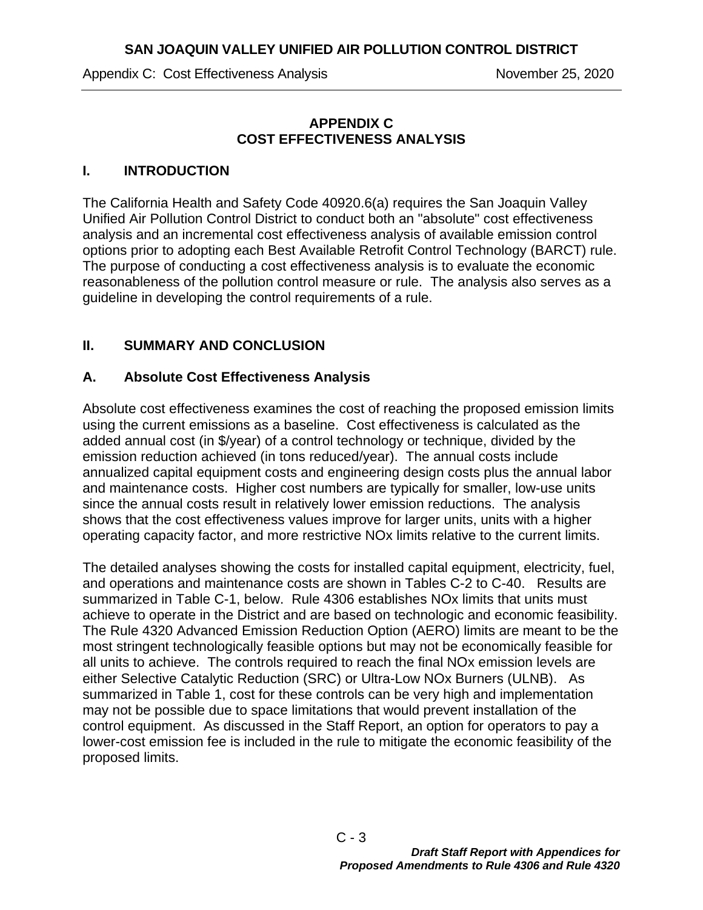Appendix C: Cost Effectiveness Analysis November 25, 2020

#### **APPENDIX C COST EFFECTIVENESS ANALYSIS**

# **I. INTRODUCTION**

The California Health and Safety Code 40920.6(a) requires the San Joaquin Valley Unified Air Pollution Control District to conduct both an "absolute" cost effectiveness analysis and an incremental cost effectiveness analysis of available emission control options prior to adopting each Best Available Retrofit Control Technology (BARCT) rule. The purpose of conducting a cost effectiveness analysis is to evaluate the economic reasonableness of the pollution control measure or rule. The analysis also serves as a guideline in developing the control requirements of a rule.

# **II. SUMMARY AND CONCLUSION**

# **A. Absolute Cost Effectiveness Analysis**

Absolute cost effectiveness examines the cost of reaching the proposed emission limits using the current emissions as a baseline. Cost effectiveness is calculated as the added annual cost (in \$/year) of a control technology or technique, divided by the emission reduction achieved (in tons reduced/year). The annual costs include annualized capital equipment costs and engineering design costs plus the annual labor and maintenance costs. Higher cost numbers are typically for smaller, low-use units since the annual costs result in relatively lower emission reductions. The analysis shows that the cost effectiveness values improve for larger units, units with a higher operating capacity factor, and more restrictive NOx limits relative to the current limits.

The detailed analyses showing the costs for installed capital equipment, electricity, fuel, and operations and maintenance costs are shown in Tables C-2 to C-40. Results are summarized in Table C-1, below. Rule 4306 establishes NOx limits that units must achieve to operate in the District and are based on technologic and economic feasibility. The Rule 4320 Advanced Emission Reduction Option (AERO) limits are meant to be the most stringent technologically feasible options but may not be economically feasible for all units to achieve. The controls required to reach the final NOx emission levels are either Selective Catalytic Reduction (SRC) or Ultra-Low NOx Burners (ULNB). As summarized in Table 1, cost for these controls can be very high and implementation may not be possible due to space limitations that would prevent installation of the control equipment. As discussed in the Staff Report, an option for operators to pay a lower-cost emission fee is included in the rule to mitigate the economic feasibility of the proposed limits.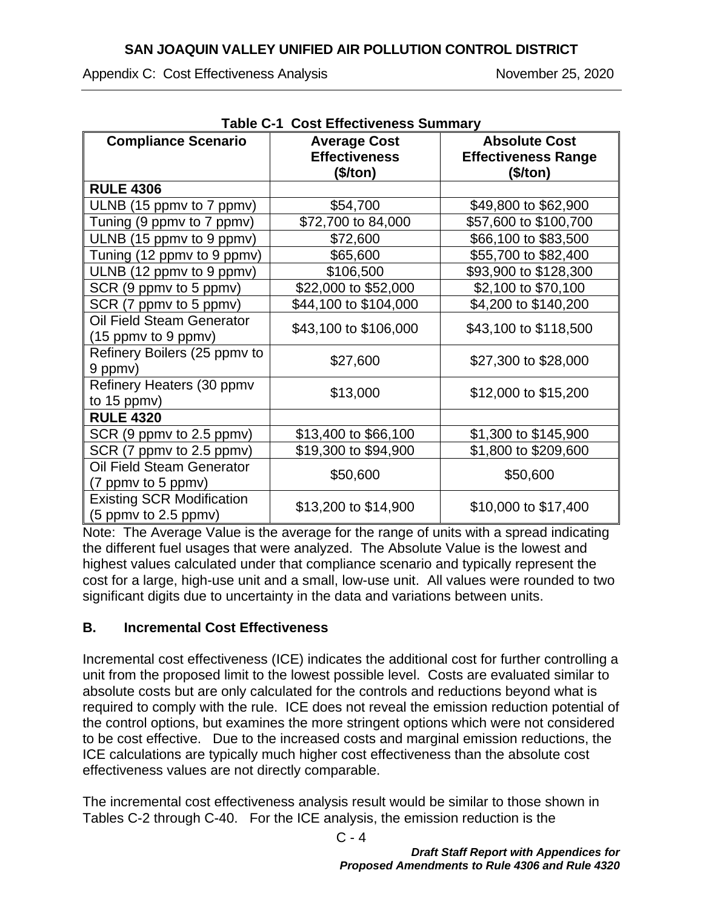Appendix C: Cost Effectiveness Analysis November 25, 2020

| <b>Table C-1 Cost Effectiveness Summary</b>              |                                                         |                                                                |  |  |  |  |  |  |  |
|----------------------------------------------------------|---------------------------------------------------------|----------------------------------------------------------------|--|--|--|--|--|--|--|
| <b>Compliance Scenario</b>                               | <b>Average Cost</b><br><b>Effectiveness</b><br>(\$/ton) | <b>Absolute Cost</b><br><b>Effectiveness Range</b><br>(\$/ton) |  |  |  |  |  |  |  |
| <b>RULE 4306</b>                                         |                                                         |                                                                |  |  |  |  |  |  |  |
| ULNB (15 ppmv to 7 ppmv)                                 | \$54,700                                                | \$49,800 to \$62,900                                           |  |  |  |  |  |  |  |
| Tuning (9 ppmv to 7 ppmv)                                | \$72,700 to 84,000                                      | \$57,600 to \$100,700                                          |  |  |  |  |  |  |  |
| ULNB (15 ppmv to 9 ppmv)                                 | \$72,600                                                | \$66,100 to \$83,500                                           |  |  |  |  |  |  |  |
| Tuning (12 ppmv to 9 ppmv)                               | \$65,600                                                | \$55,700 to \$82,400                                           |  |  |  |  |  |  |  |
| ULNB (12 ppmv to 9 ppmv)                                 | \$106,500                                               | \$93,900 to \$128,300                                          |  |  |  |  |  |  |  |
| SCR (9 ppmv to 5 ppmv)                                   | \$22,000 to \$52,000                                    | \$2,100 to \$70,100                                            |  |  |  |  |  |  |  |
| SCR (7 ppmv to 5 ppmv)                                   | \$44,100 to \$104,000                                   | \$4,200 to \$140,200                                           |  |  |  |  |  |  |  |
| Oil Field Steam Generator<br>(15 ppmv to 9 ppmv)         | \$43,100 to \$106,000                                   | \$43,100 to \$118,500                                          |  |  |  |  |  |  |  |
| Refinery Boilers (25 ppmy to<br>9 ppmv)                  | \$27,600                                                | \$27,300 to \$28,000                                           |  |  |  |  |  |  |  |
| Refinery Heaters (30 ppmv<br>to 15 ppmv)                 | \$13,000                                                | \$12,000 to \$15,200                                           |  |  |  |  |  |  |  |
| <b>RULE 4320</b>                                         |                                                         |                                                                |  |  |  |  |  |  |  |
| SCR (9 ppmv to 2.5 ppmv)                                 | \$13,400 to \$66,100                                    | \$1,300 to \$145,900                                           |  |  |  |  |  |  |  |
| SCR (7 ppmv to 2.5 ppmv)                                 | \$19,300 to \$94,900                                    | \$1,800 to \$209,600                                           |  |  |  |  |  |  |  |
| Oil Field Steam Generator<br>(7 ppmv to 5 ppmv)          | \$50,600                                                | \$50,600                                                       |  |  |  |  |  |  |  |
| <b>Existing SCR Modification</b><br>(5 ppmv to 2.5 ppmv) | \$13,200 to \$14,900                                    | \$10,000 to \$17,400                                           |  |  |  |  |  |  |  |

Note: The Average Value is the average for the range of units with a spread indicating the different fuel usages that were analyzed. The Absolute Value is the lowest and highest values calculated under that compliance scenario and typically represent the cost for a large, high-use unit and a small, low-use unit. All values were rounded to two significant digits due to uncertainty in the data and variations between units.

### **B. Incremental Cost Effectiveness**

Incremental cost effectiveness (ICE) indicates the additional cost for further controlling a unit from the proposed limit to the lowest possible level. Costs are evaluated similar to absolute costs but are only calculated for the controls and reductions beyond what is required to comply with the rule. ICE does not reveal the emission reduction potential of the control options, but examines the more stringent options which were not considered to be cost effective. Due to the increased costs and marginal emission reductions, the ICE calculations are typically much higher cost effectiveness than the absolute cost effectiveness values are not directly comparable.

The incremental cost effectiveness analysis result would be similar to those shown in Tables C-2 through C-40. For the ICE analysis, the emission reduction is the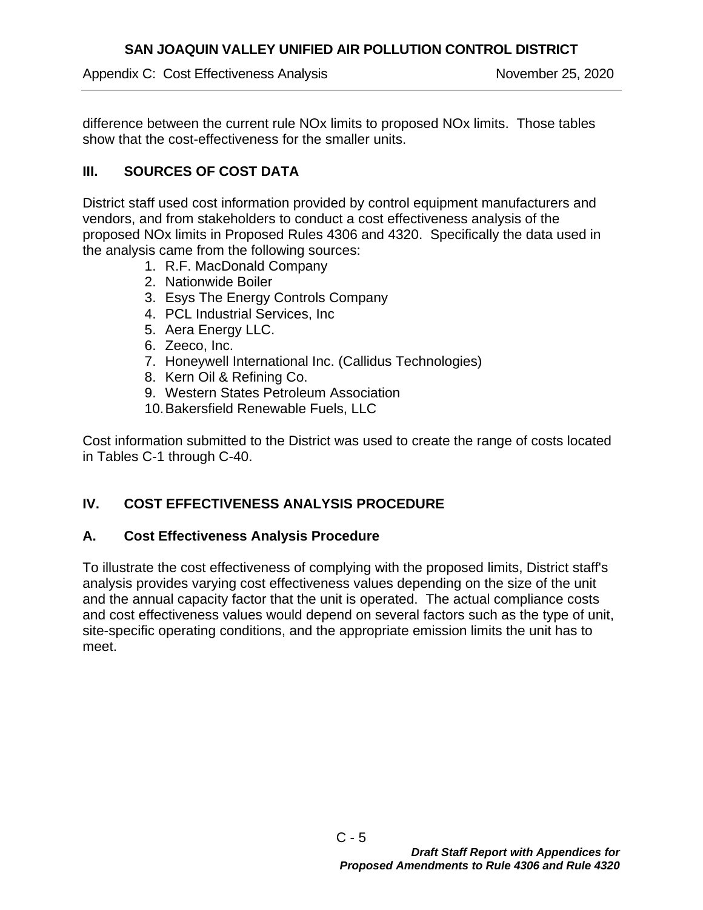difference between the current rule NOx limits to proposed NOx limits. Those tables show that the cost-effectiveness for the smaller units.

# **III. SOURCES OF COST DATA**

District staff used cost information provided by control equipment manufacturers and vendors, and from stakeholders to conduct a cost effectiveness analysis of the proposed NOx limits in Proposed Rules 4306 and 4320. Specifically the data used in the analysis came from the following sources:

- 1. R.F. MacDonald Company
- 2. Nationwide Boiler
- 3. Esys The Energy Controls Company
- 4. PCL Industrial Services, Inc
- 5. Aera Energy LLC.
- 6. Zeeco, Inc.
- 7. Honeywell International Inc. (Callidus Technologies)
- 8. Kern Oil & Refining Co.
- 9. Western States Petroleum Association
- 10.Bakersfield Renewable Fuels, LLC

Cost information submitted to the District was used to create the range of costs located in Tables C-1 through C-40.

# **IV. COST EFFECTIVENESS ANALYSIS PROCEDURE**

# **A. Cost Effectiveness Analysis Procedure**

To illustrate the cost effectiveness of complying with the proposed limits, District staff's analysis provides varying cost effectiveness values depending on the size of the unit and the annual capacity factor that the unit is operated. The actual compliance costs and cost effectiveness values would depend on several factors such as the type of unit, site-specific operating conditions, and the appropriate emission limits the unit has to meet.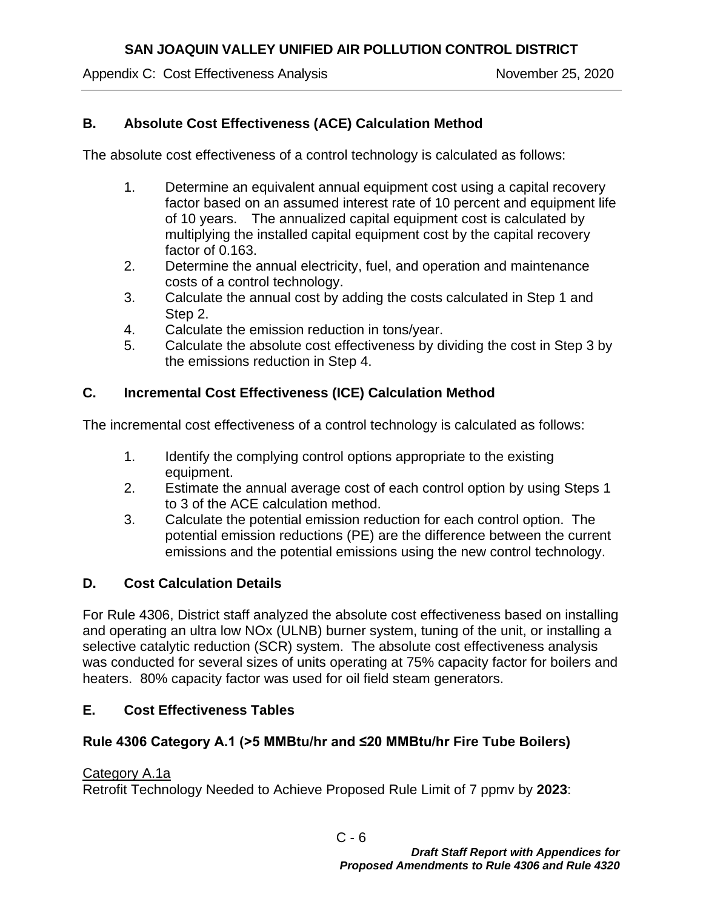Appendix C: Cost Effectiveness Analysis November 25, 2020

# **B. Absolute Cost Effectiveness (ACE) Calculation Method**

The absolute cost effectiveness of a control technology is calculated as follows:

- 1. Determine an equivalent annual equipment cost using a capital recovery factor based on an assumed interest rate of 10 percent and equipment life of 10 years. The annualized capital equipment cost is calculated by multiplying the installed capital equipment cost by the capital recovery factor of 0.163.
- 2. Determine the annual electricity, fuel, and operation and maintenance costs of a control technology.
- 3. Calculate the annual cost by adding the costs calculated in Step 1 and Step 2.
- 4. Calculate the emission reduction in tons/year.
- 5. Calculate the absolute cost effectiveness by dividing the cost in Step 3 by the emissions reduction in Step 4.

# **C. Incremental Cost Effectiveness (ICE) Calculation Method**

The incremental cost effectiveness of a control technology is calculated as follows:

- 1. Identify the complying control options appropriate to the existing equipment.
- 2. Estimate the annual average cost of each control option by using Steps 1 to 3 of the ACE calculation method.
- 3. Calculate the potential emission reduction for each control option. The potential emission reductions (PE) are the difference between the current emissions and the potential emissions using the new control technology.

# **D. Cost Calculation Details**

For Rule 4306, District staff analyzed the absolute cost effectiveness based on installing and operating an ultra low NOx (ULNB) burner system, tuning of the unit, or installing a selective catalytic reduction (SCR) system. The absolute cost effectiveness analysis was conducted for several sizes of units operating at 75% capacity factor for boilers and heaters. 80% capacity factor was used for oil field steam generators.

### **E. Cost Effectiveness Tables**

# **Rule 4306 Category A.1 (>5 MMBtu/hr and ≤20 MMBtu/hr Fire Tube Boilers)**

### Category A.1a

Retrofit Technology Needed to Achieve Proposed Rule Limit of 7 ppmv by **2023**:

 C - 6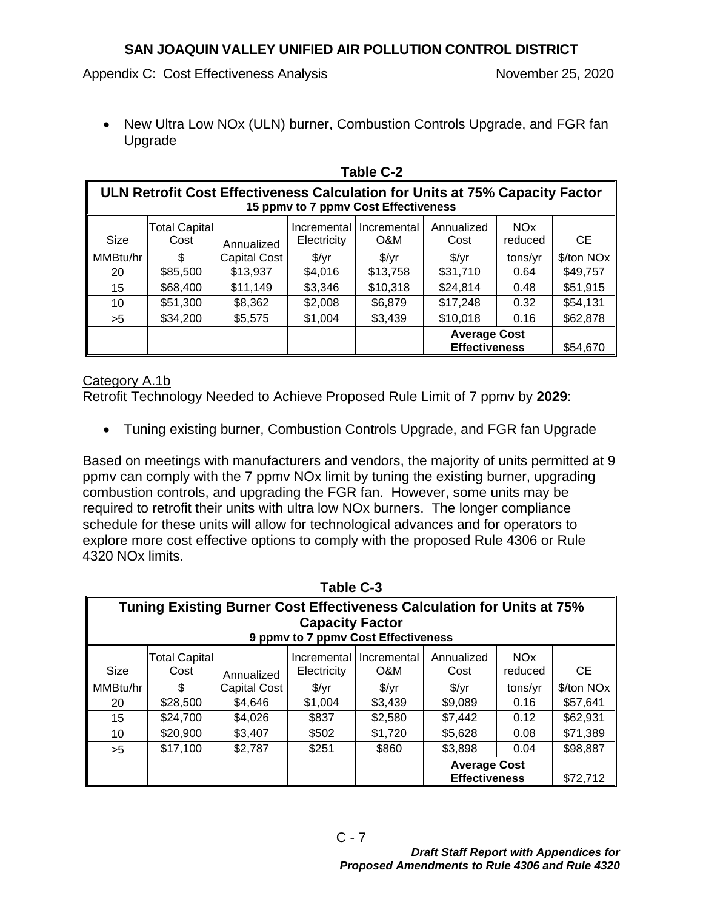• New Ultra Low NOx (ULN) burner, Combustion Controls Upgrade, and FGR fan Upgrade

|          |                                                                                                                      |                     |                              | I UMIV V A         |                      |                            |                        |  |  |  |  |
|----------|----------------------------------------------------------------------------------------------------------------------|---------------------|------------------------------|--------------------|----------------------|----------------------------|------------------------|--|--|--|--|
|          | ULN Retrofit Cost Effectiveness Calculation for Units at 75% Capacity Factor<br>15 ppmy to 7 ppmy Cost Effectiveness |                     |                              |                    |                      |                            |                        |  |  |  |  |
| Size     | <b>Total Capital</b><br>Cost                                                                                         | Annualized          | Incremental I<br>Electricity | Incremental<br>O&M | Annualized<br>Cost   | NO <sub>x</sub><br>reduced | <b>CE</b>              |  |  |  |  |
| MMBtu/hr | \$                                                                                                                   | <b>Capital Cost</b> | $\sqrt[6]{y}$ r              | $\sqrt{5}$ /yr     | $\sqrt[6]{y}$ r      | tons/yr                    | \$/ton NO <sub>x</sub> |  |  |  |  |
| 20       | \$85,500                                                                                                             | \$13,937            | \$4,016                      | \$13,758           | \$31,710             | 0.64                       | \$49,757               |  |  |  |  |
| 15       | \$68,400                                                                                                             | \$11,149            | \$3,346                      | \$10,318           | \$24,814             | 0.48                       | \$51,915               |  |  |  |  |
| 10       | \$51,300                                                                                                             | \$8,362             | \$2,008                      | \$6,879            | \$17,248             | 0.32                       | \$54,131               |  |  |  |  |
| >5       | \$34,200                                                                                                             | \$5,575             | \$1,004                      | \$3,439            | \$10,018             | 0.16                       | \$62,878               |  |  |  |  |
|          |                                                                                                                      |                     |                              |                    | <b>Average Cost</b>  |                            |                        |  |  |  |  |
|          |                                                                                                                      |                     |                              |                    | <b>Effectiveness</b> |                            | \$54,670               |  |  |  |  |

#### **Table C-2**

# Category A.1b

Retrofit Technology Needed to Achieve Proposed Rule Limit of 7 ppmv by **2029**:

• Tuning existing burner, Combustion Controls Upgrade, and FGR fan Upgrade

Based on meetings with manufacturers and vendors, the majority of units permitted at 9 ppmv can comply with the 7 ppmv NOx limit by tuning the existing burner, upgrading combustion controls, and upgrading the FGR fan. However, some units may be required to retrofit their units with ultra low NOx burners. The longer compliance schedule for these units will allow for technological advances and for operators to explore more cost effective options to comply with the proposed Rule 4306 or Rule 4320 NOx limits.

|                                                                        | Table C-3                                                                                 |              |               |               |                      |         |                        |  |  |  |  |  |  |
|------------------------------------------------------------------------|-------------------------------------------------------------------------------------------|--------------|---------------|---------------|----------------------|---------|------------------------|--|--|--|--|--|--|
| Tuning Existing Burner Cost Effectiveness Calculation for Units at 75% |                                                                                           |              |               |               |                      |         |                        |  |  |  |  |  |  |
| <b>Capacity Factor</b><br>9 ppmv to 7 ppmv Cost Effectiveness          |                                                                                           |              |               |               |                      |         |                        |  |  |  |  |  |  |
|                                                                        |                                                                                           |              |               |               |                      |         |                        |  |  |  |  |  |  |
|                                                                        | <b>Total Capital</b><br><b>NO<sub>x</sub></b><br>Annualized<br>Incremental<br>Incremental |              |               |               |                      |         |                        |  |  |  |  |  |  |
| Size                                                                   | <b>CE</b><br>Cost<br>O&M<br>Electricity<br>Cost<br>reduced<br>Annualized                  |              |               |               |                      |         |                        |  |  |  |  |  |  |
| MMBtu/hr                                                               | S                                                                                         | Capital Cost | $\frac{f}{f}$ | $\frac{f}{f}$ | $\sqrt[6]{y}$ r      | tons/vr | \$/ton NO <sub>x</sub> |  |  |  |  |  |  |
| 20                                                                     | \$28,500                                                                                  | \$4,646      | \$1,004       | \$3,439       | \$9,089              | 0.16    | \$57,641               |  |  |  |  |  |  |
| 15                                                                     | \$24,700                                                                                  | \$4,026      | \$837         | \$2,580       | \$7,442              | 0.12    | \$62,931               |  |  |  |  |  |  |
| 10                                                                     | \$20,900                                                                                  | \$3,407      | \$502         | \$1,720       | \$5,628              | 0.08    | \$71,389               |  |  |  |  |  |  |
| >5                                                                     | \$17,100                                                                                  | \$2,787      | \$251         | \$860         | \$3,898              | 0.04    | \$98,887               |  |  |  |  |  |  |
|                                                                        | <b>Average Cost</b>                                                                       |              |               |               |                      |         |                        |  |  |  |  |  |  |
|                                                                        |                                                                                           |              |               |               | <b>Effectiveness</b> |         | \$72,712               |  |  |  |  |  |  |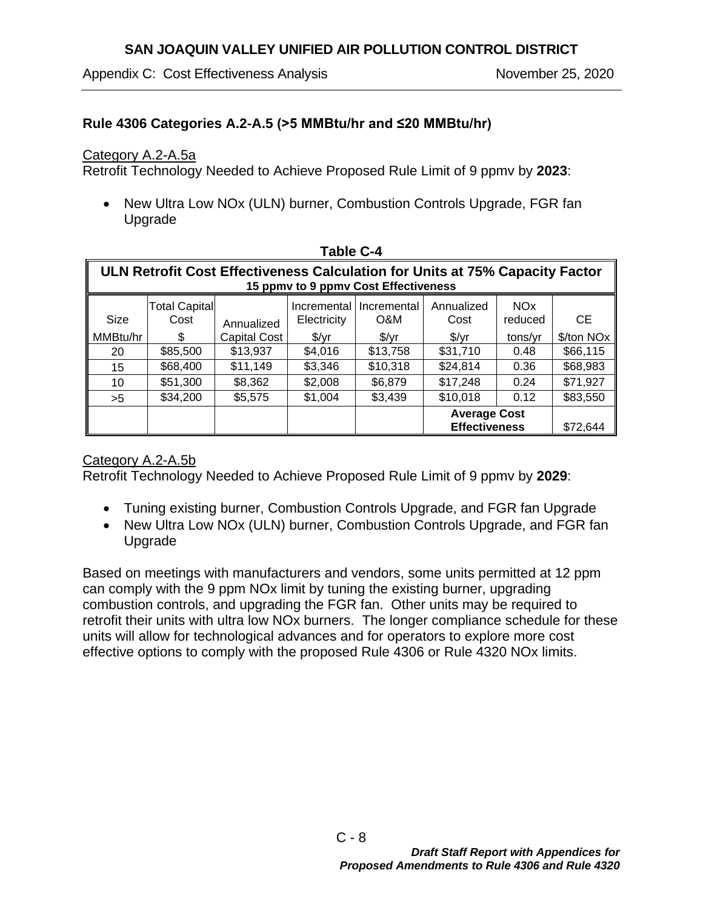Appendix C: Cost Effectiveness Analysis November 25, 2020

# **Rule 4306 Categories A.2-A.5 (>5 MMBtu/hr and ≤20 MMBtu/hr)**

Category A.2-A.5a

Retrofit Technology Needed to Achieve Proposed Rule Limit of 9 ppmv by **2023**:

• New Ultra Low NOx (ULN) burner, Combustion Controls Upgrade, FGR fan Upgrade

| LANIC U-4                                                                                                            |                              |              |                            |                    |                                             |                                  |                        |  |  |  |  |
|----------------------------------------------------------------------------------------------------------------------|------------------------------|--------------|----------------------------|--------------------|---------------------------------------------|----------------------------------|------------------------|--|--|--|--|
| ULN Retrofit Cost Effectiveness Calculation for Units at 75% Capacity Factor<br>15 ppmv to 9 ppmv Cost Effectiveness |                              |              |                            |                    |                                             |                                  |                        |  |  |  |  |
| Size                                                                                                                 | <b>Total Capital</b><br>Cost | Annualized   | Incremental<br>Electricity | Incremental<br>O&M | Annualized<br>Cost                          | <b>NO<sub>x</sub></b><br>reduced | <b>CE</b>              |  |  |  |  |
| MMBtu/hr                                                                                                             | S                            | Capital Cost | $\frac{f}{f}$              | $\frac{f}{f}$      | $\sqrt[6]{y}$ r                             | tons/yr                          | \$/ton NO <sub>x</sub> |  |  |  |  |
| 20                                                                                                                   | \$85,500                     | \$13,937     | \$4,016                    | \$13,758           | \$31,710                                    | 0.48                             | \$66,115               |  |  |  |  |
| 15                                                                                                                   | \$68,400                     | \$11,149     | \$3,346                    | \$10,318           | \$24,814                                    | 0.36                             | \$68,983               |  |  |  |  |
| 10                                                                                                                   | \$51,300                     | \$8,362      | \$2,008                    | \$6,879            | \$17,248                                    | 0.24                             | \$71,927               |  |  |  |  |
| >5                                                                                                                   | \$34,200                     | \$5,575      | \$1,004                    | \$3,439            | \$10,018                                    | 0.12                             | \$83,550               |  |  |  |  |
|                                                                                                                      |                              |              |                            |                    | <b>Average Cost</b><br><b>Effectiveness</b> |                                  | \$72,644               |  |  |  |  |

# **Table C-4**

### Category A.2-A.5b

Retrofit Technology Needed to Achieve Proposed Rule Limit of 9 ppmv by **2029**:

- Tuning existing burner, Combustion Controls Upgrade, and FGR fan Upgrade
- New Ultra Low NOx (ULN) burner, Combustion Controls Upgrade, and FGR fan Upgrade

Based on meetings with manufacturers and vendors, some units permitted at 12 ppm can comply with the 9 ppm NOx limit by tuning the existing burner, upgrading combustion controls, and upgrading the FGR fan. Other units may be required to retrofit their units with ultra low NOx burners. The longer compliance schedule for these units will allow for technological advances and for operators to explore more cost effective options to comply with the proposed Rule 4306 or Rule 4320 NOx limits.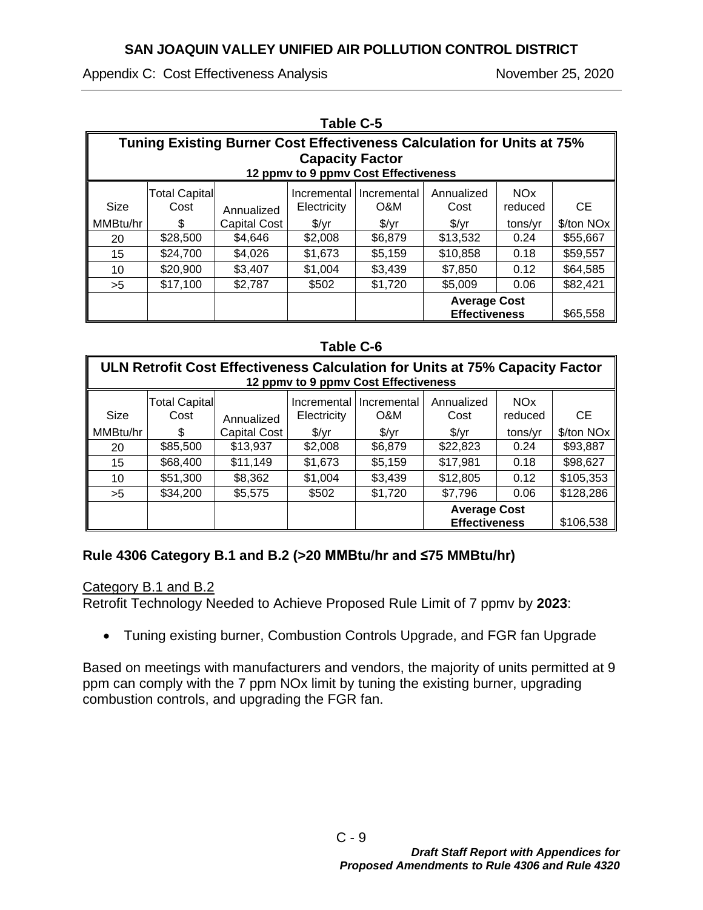#### Appendix C: Cost Effectiveness Analysis November 25, 2020

|                                                                        | <b>Table C-5</b>                                                                   |                     |               |               |                      |         |                        |  |  |  |  |  |  |
|------------------------------------------------------------------------|------------------------------------------------------------------------------------|---------------------|---------------|---------------|----------------------|---------|------------------------|--|--|--|--|--|--|
| Tuning Existing Burner Cost Effectiveness Calculation for Units at 75% |                                                                                    |                     |               |               |                      |         |                        |  |  |  |  |  |  |
| <b>Capacity Factor</b>                                                 |                                                                                    |                     |               |               |                      |         |                        |  |  |  |  |  |  |
|                                                                        | 12 ppmv to 9 ppmv Cost Effectiveness                                               |                     |               |               |                      |         |                        |  |  |  |  |  |  |
|                                                                        | <b>NO<sub>x</sub></b><br>Total Capital<br>Annualized<br>Incremental<br>Incremental |                     |               |               |                      |         |                        |  |  |  |  |  |  |
| Size                                                                   | <b>CE</b><br>Cost<br>O&M<br>Electricity<br>Cost<br>reduced<br>Annualized           |                     |               |               |                      |         |                        |  |  |  |  |  |  |
| MMBtu/hr                                                               | \$                                                                                 | <b>Capital Cost</b> | $\frac{f}{f}$ | $\frac{f}{f}$ | $\sqrt[6]{y}$ r      | tons/yr | \$/ton NO <sub>x</sub> |  |  |  |  |  |  |
| 20                                                                     | \$28,500                                                                           | \$4,646             | \$2,008       | \$6,879       | \$13,532             | 0.24    | \$55,667               |  |  |  |  |  |  |
| 15                                                                     | \$24,700                                                                           | \$4,026             | \$1,673       | \$5,159       | \$10,858             | 0.18    | \$59,557               |  |  |  |  |  |  |
| 10                                                                     | \$20,900                                                                           | \$3,407             | \$1,004       | \$3,439       | \$7,850              | 0.12    | \$64,585               |  |  |  |  |  |  |
| >5                                                                     | \$17,100                                                                           | \$2,787             | \$502         | \$1,720       | \$5,009              | 0.06    | \$82,421               |  |  |  |  |  |  |
|                                                                        | <b>Average Cost</b>                                                                |                     |               |               |                      |         |                        |  |  |  |  |  |  |
|                                                                        |                                                                                    |                     |               |               | <b>Effectiveness</b> |         | \$65,558               |  |  |  |  |  |  |

#### **Table C-6**

|             | ULN Retrofit Cost Effectiveness Calculation for Units at 75% Capacity Factor<br>12 ppmv to 9 ppmv Cost Effectiveness                                            |                     |                 |                 |                      |         |            |  |  |  |  |  |
|-------------|-----------------------------------------------------------------------------------------------------------------------------------------------------------------|---------------------|-----------------|-----------------|----------------------|---------|------------|--|--|--|--|--|
| <b>Size</b> | <b>Total Capital</b><br>Annualized<br>NO <sub>x</sub><br>Incremental<br>Incremental<br><b>CE</b><br>Cost<br>Electricity<br>O&M<br>reduced<br>Cost<br>Annualized |                     |                 |                 |                      |         |            |  |  |  |  |  |
| MMBtu/hr    | \$                                                                                                                                                              | <b>Capital Cost</b> | $\sqrt[6]{y}$ r | $\sqrt[6]{y}$ r | $\sqrt[6]{y}$ r      | tons/yr | \$/ton NOx |  |  |  |  |  |
| 20          | \$85,500                                                                                                                                                        | \$13,937            | \$2,008         | \$6,879         | \$22,823             | 0.24    | \$93,887   |  |  |  |  |  |
| 15          | \$68,400                                                                                                                                                        | \$11,149            | \$1,673         | \$5,159         | \$17,981             | 0.18    | \$98,627   |  |  |  |  |  |
| 10          | \$51,300                                                                                                                                                        | \$8,362             | \$1,004         | \$3,439         | \$12,805             | 0.12    | \$105,353  |  |  |  |  |  |
| >5          | \$34,200                                                                                                                                                        | \$5,575             | \$502           | \$1,720         | \$7,796              | 0.06    | \$128,286  |  |  |  |  |  |
|             | <b>Average Cost</b>                                                                                                                                             |                     |                 |                 |                      |         |            |  |  |  |  |  |
|             |                                                                                                                                                                 |                     |                 |                 | <b>Effectiveness</b> |         | \$106,538  |  |  |  |  |  |

### **Rule 4306 Category B.1 and B.2 (>20 MMBtu/hr and ≤75 MMBtu/hr)**

Category B.1 and B.2

Retrofit Technology Needed to Achieve Proposed Rule Limit of 7 ppmv by **2023**:

• Tuning existing burner, Combustion Controls Upgrade, and FGR fan Upgrade

Based on meetings with manufacturers and vendors, the majority of units permitted at 9 ppm can comply with the 7 ppm NOx limit by tuning the existing burner, upgrading combustion controls, and upgrading the FGR fan.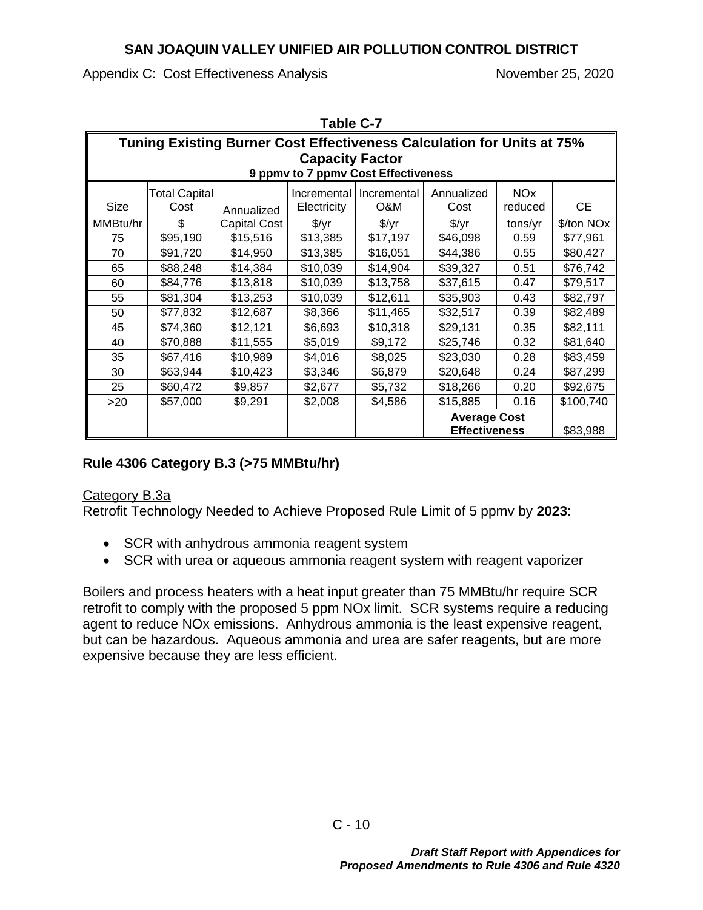#### Appendix C: Cost Effectiveness Analysis November 25, 2020

|          | Table C-7                                                                                 |              |                 |                 |                      |         |            |  |  |  |  |  |  |
|----------|-------------------------------------------------------------------------------------------|--------------|-----------------|-----------------|----------------------|---------|------------|--|--|--|--|--|--|
|          | Tuning Existing Burner Cost Effectiveness Calculation for Units at 75%                    |              |                 |                 |                      |         |            |  |  |  |  |  |  |
|          | <b>Capacity Factor</b>                                                                    |              |                 |                 |                      |         |            |  |  |  |  |  |  |
|          | 9 ppmv to 7 ppmv Cost Effectiveness                                                       |              |                 |                 |                      |         |            |  |  |  |  |  |  |
|          | <b>NO<sub>x</sub></b><br><b>Total Capital</b><br>Annualized<br>Incremental<br>Incremental |              |                 |                 |                      |         |            |  |  |  |  |  |  |
| Size     | Cost                                                                                      | Annualized   | Electricity     | O&M             | Cost                 | reduced | <b>CE</b>  |  |  |  |  |  |  |
| MMBtu/hr | \$.                                                                                       | Capital Cost | $\sqrt[6]{y}$ r | $\sqrt[6]{y}$ r | $\frac{f}{f}$        | tons/yr | \$/ton NOx |  |  |  |  |  |  |
| 75       | \$95,190                                                                                  | \$15,516     | \$13,385        | \$17,197        | \$46,098             | 0.59    | \$77,961   |  |  |  |  |  |  |
| 70       | \$91,720                                                                                  | \$14,950     | \$13,385        | \$16,051        | \$44,386             | 0.55    | \$80,427   |  |  |  |  |  |  |
| 65       | \$88,248                                                                                  | \$14,384     | \$10,039        | \$14,904        | \$39,327             | 0.51    | \$76,742   |  |  |  |  |  |  |
| 60       | \$84,776                                                                                  | \$13,818     | \$10,039        | \$13,758        | \$37,615             | 0.47    | \$79,517   |  |  |  |  |  |  |
| 55       | \$81,304                                                                                  | \$13,253     | \$10,039        | \$12,611        | \$35,903             | 0.43    | \$82,797   |  |  |  |  |  |  |
| 50       | \$77,832                                                                                  | \$12,687     | \$8,366         | \$11,465        | \$32,517             | 0.39    | \$82,489   |  |  |  |  |  |  |
| 45       | \$74,360                                                                                  | \$12,121     | \$6,693         | \$10,318        | \$29,131             | 0.35    | \$82,111   |  |  |  |  |  |  |
| 40       | \$70,888                                                                                  | \$11,555     | \$5,019         | \$9,172         | \$25,746             | 0.32    | \$81,640   |  |  |  |  |  |  |
| 35       | \$67,416                                                                                  | \$10,989     | \$4,016         | \$8,025         | \$23,030             | 0.28    | \$83,459   |  |  |  |  |  |  |
| 30       | \$63,944                                                                                  | \$10,423     | \$3,346         | \$6,879         | \$20,648             | 0.24    | \$87,299   |  |  |  |  |  |  |
| 25       | \$60,472                                                                                  | \$9,857      | \$2,677         | \$5,732         | \$18,266             | 0.20    | \$92,675   |  |  |  |  |  |  |
| >20      | \$57,000                                                                                  | \$9,291      | \$2,008         | \$4,586         | \$15,885             | 0.16    | \$100,740  |  |  |  |  |  |  |
|          |                                                                                           |              |                 |                 | <b>Average Cost</b>  |         |            |  |  |  |  |  |  |
|          |                                                                                           |              |                 |                 | <b>Effectiveness</b> |         | \$83,988   |  |  |  |  |  |  |

# **Rule 4306 Category B.3 (>75 MMBtu/hr)**

#### Category B.3a

Retrofit Technology Needed to Achieve Proposed Rule Limit of 5 ppmv by **2023**:

- SCR with anhydrous ammonia reagent system
- SCR with urea or aqueous ammonia reagent system with reagent vaporizer

Boilers and process heaters with a heat input greater than 75 MMBtu/hr require SCR retrofit to comply with the proposed 5 ppm NOx limit. SCR systems require a reducing agent to reduce NOx emissions. Anhydrous ammonia is the least expensive reagent, but can be hazardous. Aqueous ammonia and urea are safer reagents, but are more expensive because they are less efficient.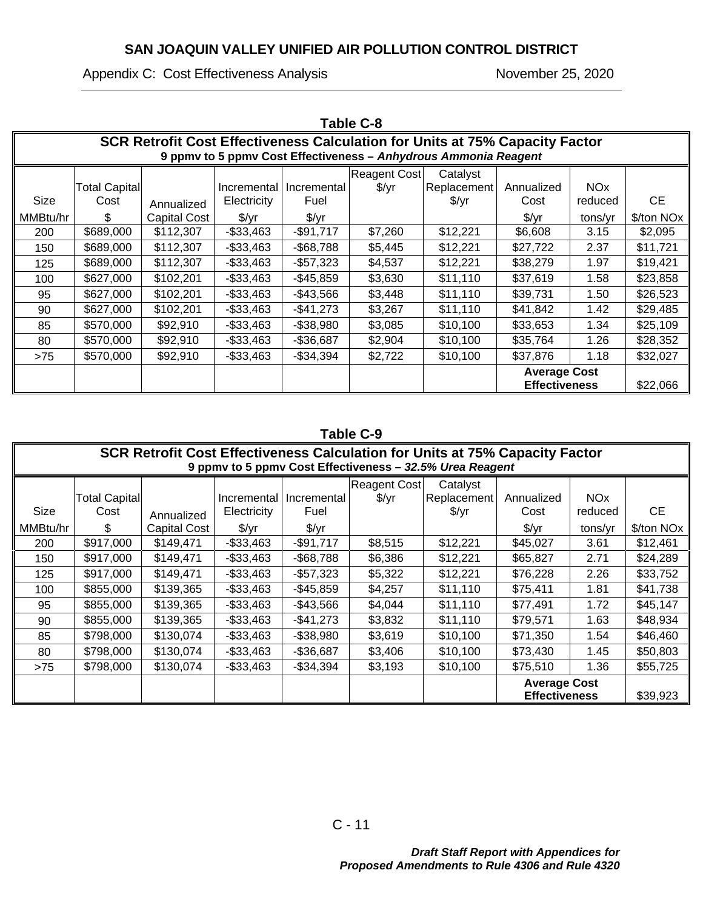#### Appendix C: Cost Effectiveness Analysis November 25, 2020

|                                                                              | Table C-8                                                       |              |                 |                 |                     |               |                      |                       |                        |  |  |  |  |
|------------------------------------------------------------------------------|-----------------------------------------------------------------|--------------|-----------------|-----------------|---------------------|---------------|----------------------|-----------------------|------------------------|--|--|--|--|
| SCR Retrofit Cost Effectiveness Calculation for Units at 75% Capacity Factor |                                                                 |              |                 |                 |                     |               |                      |                       |                        |  |  |  |  |
|                                                                              | 9 ppmv to 5 ppmv Cost Effectiveness - Anhydrous Ammonia Reagent |              |                 |                 |                     |               |                      |                       |                        |  |  |  |  |
|                                                                              |                                                                 |              |                 |                 | <b>Reagent Cost</b> | Catalyst      |                      |                       |                        |  |  |  |  |
|                                                                              | <b>Total Capital</b>                                            |              | Incremental     | Incremental     | $\sqrt[6]{y}$ r     | Replacement   | Annualized           | <b>NO<sub>x</sub></b> |                        |  |  |  |  |
| <b>Size</b>                                                                  | Cost                                                            | Annualized   | Electricity     | Fuel            |                     | $\frac{f}{f}$ | Cost                 | reduced               | CE.                    |  |  |  |  |
| MMBtu/hr                                                                     | \$.                                                             | Capital Cost | $\sqrt[6]{y}$ r | $\sqrt[6]{y}$ r |                     |               | $\sqrt[6]{y}$ r      | tons/yr               | \$/ton NO <sub>x</sub> |  |  |  |  |
| 200                                                                          | \$689,000                                                       | \$112,307    | $-$ \$33,463    | $-$ \$91,717    | \$7,260             | \$12,221      | \$6,608              | 3.15                  | \$2,095                |  |  |  |  |
| 150                                                                          | \$689,000                                                       | \$112,307    | -\$33,463       | $-$ \$68,788    | \$5,445             | \$12,221      | \$27,722             | 2.37                  | \$11,721               |  |  |  |  |
| 125                                                                          | \$689,000                                                       | \$112,307    | -\$33,463       | $-$ \$57,323    | \$4,537             | \$12,221      | \$38,279             | 1.97                  | \$19,421               |  |  |  |  |
| 100                                                                          | \$627,000                                                       | \$102,201    | $-$ \$33,463    | $-$45,859$      | \$3,630             | \$11,110      | \$37,619             | 1.58                  | \$23,858               |  |  |  |  |
| 95                                                                           | \$627,000                                                       | \$102,201    | -\$33,463       | $-$ \$43,566    | \$3,448             | \$11,110      | \$39,731             | 1.50                  | \$26,523               |  |  |  |  |
| 90                                                                           | \$627,000                                                       | \$102,201    | $-$ \$33,463    | $-$ \$41,273    | \$3,267             | \$11,110      | \$41,842             | 1.42                  | \$29,485               |  |  |  |  |
| 85                                                                           | \$570,000                                                       | \$92,910     | -\$33,463       | $-$ \$38,980    | \$3,085             | \$10,100      | \$33,653             | 1.34                  | \$25,109               |  |  |  |  |
| 80                                                                           | \$570,000                                                       | \$92,910     | $-$ \$33,463    | $-$36,687$      | \$2,904             | \$10,100      | \$35,764             | 1.26                  | \$28,352               |  |  |  |  |
| >75                                                                          | \$570,000                                                       | \$92,910     | -\$33,463       | $-$ \$34,394    | \$2,722             | \$10,100      | \$37,876             | 1.18                  | \$32,027               |  |  |  |  |
|                                                                              |                                                                 |              |                 |                 |                     |               | <b>Average Cost</b>  |                       |                        |  |  |  |  |
|                                                                              |                                                                 |              |                 |                 |                     |               | <b>Effectiveness</b> |                       | \$22,066               |  |  |  |  |

#### **Table C-9**

#### **SCR Retrofit Cost Effectiveness Calculation for Units at 75% Capacity Factor 9 ppmv to 5 ppmv Cost Effectiveness –** *32.5% Urea Reagent*

|          |                      |              |                 |               | Reagent Cost  | Catalyst        |                      |                 |                        |
|----------|----------------------|--------------|-----------------|---------------|---------------|-----------------|----------------------|-----------------|------------------------|
|          | <b>Total Capital</b> |              | Incremental     | Incremental   | $\frac{f}{f}$ | Replacement     | Annualized           | NO <sub>x</sub> |                        |
| Size     | Cost                 | Annualized   | Electricity     | Fuel          |               | $\sqrt[6]{y}$ r | Cost                 | reduced         | CE                     |
| MMBtu/hr | \$                   | Capital Cost | $\sqrt[6]{y}$ r | $\frac{f}{f}$ |               |                 | $\sqrt[6]{y}$ r      | tons/yr         | \$/ton NO <sub>x</sub> |
| 200      | \$917,000            | \$149,471    | $-$ \$33,463    | $-$91,717$    | \$8,515       | \$12,221        | \$45,027             | 3.61            | \$12,461               |
| 150      | \$917,000            | \$149,471    | $-$ \$33,463    | $-$ \$68,788  | \$6,386       | \$12,221        | \$65,827             | 2.71            | \$24,289               |
| 125      | \$917,000            | \$149,471    | $-$ \$33,463    | $-$57,323$    | \$5,322       | \$12,221        | \$76,228             | 2.26            | \$33,752               |
| 100      | \$855,000            | \$139,365    | $-$ \$33,463    | $-$ \$45,859  | \$4,257       | \$11,110        | \$75,411             | 1.81            | \$41,738               |
| 95       | \$855,000            | \$139,365    | $-$ \$33,463    | $-$ \$43,566  | \$4,044       | \$11,110        | \$77,491             | 1.72            | \$45,147               |
| 90       | \$855,000            | \$139,365    | $-$ \$33,463    | $-$ \$41,273  | \$3,832       | \$11,110        | \$79,571             | 1.63            | \$48,934               |
| 85       | \$798,000            | \$130,074    | $-$ \$33,463    | $-$ \$38,980  | \$3,619       | \$10,100        | \$71,350             | 1.54            | \$46,460               |
| 80       | \$798,000            | \$130,074    | $-$ \$33,463    | $-$36,687$    | \$3,406       | \$10,100        | \$73,430             | 1.45            | \$50,803               |
| $>75$    | \$798,000            | \$130,074    | $-$ \$33,463    | $-$34,394$    | \$3,193       | \$10,100        | \$75,510             | 1.36            | \$55,725               |
|          |                      |              |                 |               |               |                 | <b>Average Cost</b>  |                 |                        |
|          |                      |              |                 |               |               |                 | <b>Effectiveness</b> |                 | \$39,923               |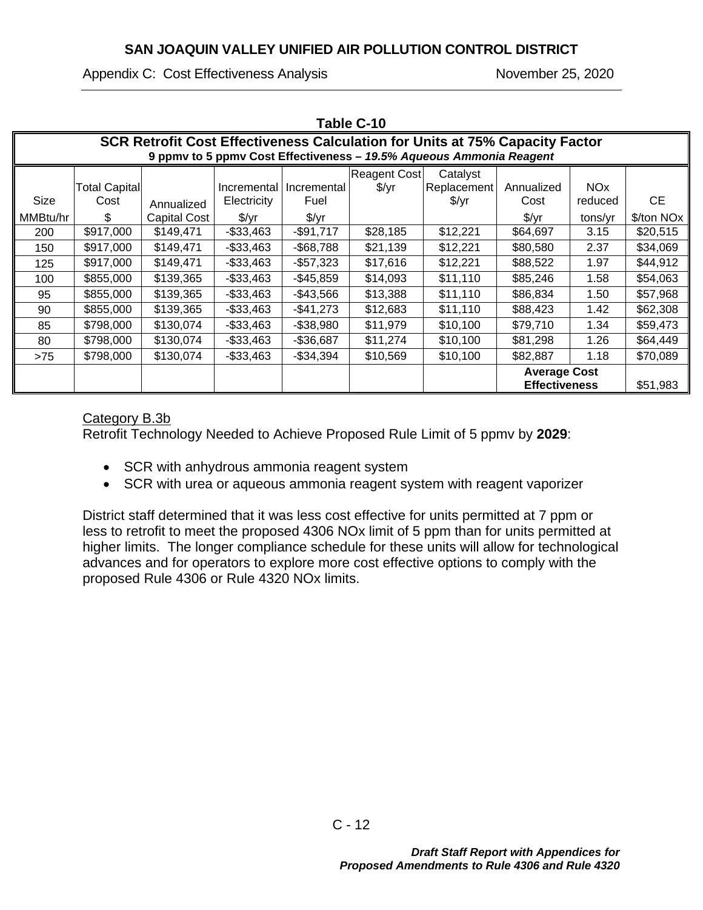#### Appendix C: Cost Effectiveness Analysis November 25, 2020

|                                                                                                                                                     | <b>Table C-10</b>    |                     |                 |               |                     |               |                      |                       |            |  |  |  |  |
|-----------------------------------------------------------------------------------------------------------------------------------------------------|----------------------|---------------------|-----------------|---------------|---------------------|---------------|----------------------|-----------------------|------------|--|--|--|--|
| SCR Retrofit Cost Effectiveness Calculation for Units at 75% Capacity Factor<br>9 ppmv to 5 ppmv Cost Effectiveness - 19.5% Aqueous Ammonia Reagent |                      |                     |                 |               |                     |               |                      |                       |            |  |  |  |  |
|                                                                                                                                                     |                      |                     |                 |               | <b>Reagent Cost</b> | Catalyst      |                      |                       |            |  |  |  |  |
|                                                                                                                                                     | <b>Total Capital</b> |                     | Incremental     | Incremental   | $\sqrt[6]{y}$ r     | Replacement   | Annualized           | <b>NO<sub>x</sub></b> |            |  |  |  |  |
| Size                                                                                                                                                | Cost                 | Annualized          | Electricity     | Fuel          |                     | $\frac{f}{f}$ | Cost                 | reduced               | CE.        |  |  |  |  |
| MMBtu/hr                                                                                                                                            | S                    | <b>Capital Cost</b> | $\sqrt[6]{y}$ r | $\frac{f}{f}$ |                     |               | $\frac{f}{f}$        | tons/yr               | \$/ton NOx |  |  |  |  |
| 200                                                                                                                                                 | \$917,000            | \$149,471           | $- $33,463$     | $-$ \$91,717  | \$28,185            | \$12,221      | \$64,697             | 3.15                  | \$20,515   |  |  |  |  |
| 150                                                                                                                                                 | \$917,000            | \$149,471           | -\$33,463       | $-$ \$68,788  | \$21,139            | \$12,221      | \$80,580             | 2.37                  | \$34,069   |  |  |  |  |
| 125                                                                                                                                                 | \$917,000            | \$149,471           | -\$33,463       | $-$ \$57,323  | \$17,616            | \$12,221      | \$88,522             | 1.97                  | \$44,912   |  |  |  |  |
| 100                                                                                                                                                 | \$855,000            | \$139,365           | $-$ \$33,463    | $-$ \$45,859  | \$14,093            | \$11,110      | \$85,246             | 1.58                  | \$54,063   |  |  |  |  |
| 95                                                                                                                                                  | \$855,000            | \$139,365           | $-$ \$33,463    | $-$ \$43,566  | \$13,388            | \$11,110      | \$86,834             | 1.50                  | \$57,968   |  |  |  |  |
| 90                                                                                                                                                  | \$855,000            | \$139,365           | $-$ \$33,463    | $-$ \$41,273  | \$12,683            | \$11,110      | \$88,423             | 1.42                  | \$62,308   |  |  |  |  |
| 85                                                                                                                                                  | \$798,000            | \$130,074           | -\$33,463       | $-$ \$38,980  | \$11,979            | \$10,100      | \$79,710             | 1.34                  | \$59,473   |  |  |  |  |
| 80                                                                                                                                                  | \$798,000            | \$130,074           | -\$33,463       | $-$ \$36,687  | \$11,274            | \$10,100      | \$81,298             | 1.26                  | \$64,449   |  |  |  |  |
| $>75$                                                                                                                                               | \$798,000            | \$130,074           | $- $33,463$     | $-$ \$34,394  | \$10,569            | \$10,100      | \$82,887             | 1.18                  | \$70,089   |  |  |  |  |
|                                                                                                                                                     |                      |                     |                 |               |                     |               | <b>Average Cost</b>  |                       |            |  |  |  |  |
|                                                                                                                                                     |                      |                     |                 |               |                     |               | <b>Effectiveness</b> |                       | \$51,983   |  |  |  |  |

# Category B.3b

Retrofit Technology Needed to Achieve Proposed Rule Limit of 5 ppmv by **2029**:

- SCR with anhydrous ammonia reagent system
- SCR with urea or aqueous ammonia reagent system with reagent vaporizer

District staff determined that it was less cost effective for units permitted at 7 ppm or less to retrofit to meet the proposed 4306 NOx limit of 5 ppm than for units permitted at higher limits. The longer compliance schedule for these units will allow for technological advances and for operators to explore more cost effective options to comply with the proposed Rule 4306 or Rule 4320 NOx limits.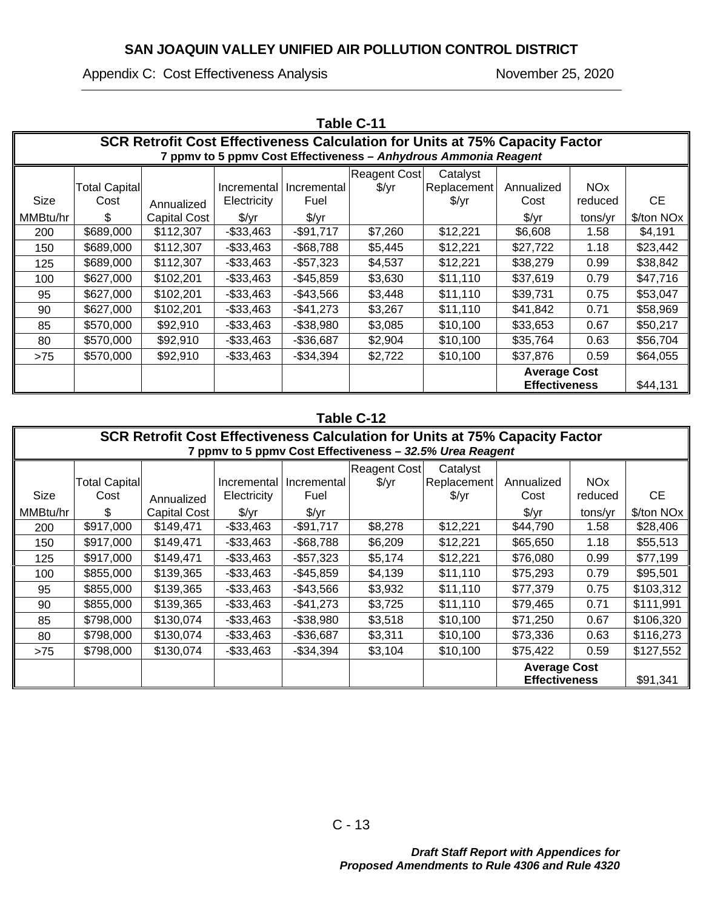#### Appendix C: Cost Effectiveness Analysis November 25, 2020

|                                                                                                                                                 | <b>Table C-11</b>    |              |                 |                 |                     |               |                      |                       |                        |  |  |  |  |
|-------------------------------------------------------------------------------------------------------------------------------------------------|----------------------|--------------|-----------------|-----------------|---------------------|---------------|----------------------|-----------------------|------------------------|--|--|--|--|
| SCR Retrofit Cost Effectiveness Calculation for Units at 75% Capacity Factor<br>7 ppmv to 5 ppmv Cost Effectiveness - Anhydrous Ammonia Reagent |                      |              |                 |                 |                     |               |                      |                       |                        |  |  |  |  |
|                                                                                                                                                 |                      |              |                 |                 |                     |               |                      |                       |                        |  |  |  |  |
|                                                                                                                                                 |                      |              |                 |                 | <b>Reagent Cost</b> | Catalyst      |                      |                       |                        |  |  |  |  |
|                                                                                                                                                 | <b>Total Capital</b> |              | Incremental     | Incremental     | $\sqrt[6]{y}$ r     | Replacement   | Annualized           | <b>NO<sub>x</sub></b> |                        |  |  |  |  |
| Size                                                                                                                                            | Cost                 | Annualized   | Electricity     | Fuel            |                     | $\frac{f}{f}$ | Cost                 | reduced               | CE.                    |  |  |  |  |
| MMBtu/hr                                                                                                                                        | S                    | Capital Cost | $\sqrt[6]{y}$ r | $\sqrt[6]{y}$ r |                     |               | $\sqrt[6]{y}$ r      | tons/yr               | \$/ton NO <sub>x</sub> |  |  |  |  |
| 200                                                                                                                                             | \$689,000            | \$112,307    | $-$ \$33,463    | $-$ \$91,717    | \$7,260             | \$12,221      | \$6,608              | 1.58                  | \$4,191                |  |  |  |  |
| 150                                                                                                                                             | \$689,000            | \$112,307    | $-$ \$33,463    | $-$ \$68,788    | \$5,445             | \$12,221      | \$27,722             | 1.18                  | \$23,442               |  |  |  |  |
| 125                                                                                                                                             | \$689,000            | \$112,307    | $-$ \$33,463    | $-$57,323$      | \$4,537             | \$12,221      | \$38,279             | 0.99                  | \$38,842               |  |  |  |  |
| 100                                                                                                                                             | \$627,000            | \$102,201    | $-$ \$33,463    | $-$45,859$      | \$3,630             | \$11,110      | \$37,619             | 0.79                  | \$47,716               |  |  |  |  |
| 95                                                                                                                                              | \$627,000            | \$102,201    | $-$ \$33,463    | $-$43,566$      | \$3,448             | \$11,110      | \$39,731             | 0.75                  | \$53,047               |  |  |  |  |
| 90                                                                                                                                              | \$627,000            | \$102,201    | $-$ \$33,463    | $-$41,273$      | \$3,267             | \$11,110      | \$41,842             | 0.71                  | \$58,969               |  |  |  |  |
| 85                                                                                                                                              | \$570,000            | \$92,910     | $-$ \$33,463    | $-$ \$38,980    | \$3,085             | \$10,100      | \$33,653             | 0.67                  | \$50,217               |  |  |  |  |
| 80                                                                                                                                              | \$570,000            | \$92,910     | $-$ \$33,463    | $-$36,687$      | \$2,904             | \$10,100      | \$35,764             | 0.63                  | \$56,704               |  |  |  |  |
| $>75$                                                                                                                                           | \$570,000            | \$92,910     | $-$ \$33,463    | $-$ \$34,394    | \$2,722             | \$10,100      | \$37,876             | 0.59                  | \$64,055               |  |  |  |  |
|                                                                                                                                                 |                      |              |                 |                 |                     |               | <b>Average Cost</b>  |                       |                        |  |  |  |  |
|                                                                                                                                                 |                      |              |                 |                 |                     |               | <b>Effectiveness</b> |                       | \$44,131               |  |  |  |  |

#### **Table C-12**

#### **SCR Retrofit Cost Effectiveness Calculation for Units at 75% Capacity Factor 7 ppmv to 5 ppmv Cost Effectiveness –** *32.5% Urea Reagent*

|          |                      |                     |                 |               | Reagent Cost  | Catalyst      |                      |                 |                        |
|----------|----------------------|---------------------|-----------------|---------------|---------------|---------------|----------------------|-----------------|------------------------|
|          | <b>Total Capital</b> |                     | Incremental     | Incremental   | $\frac{f}{f}$ | Replacement   | Annualized           | NO <sub>x</sub> |                        |
| Size     | Cost                 | Annualized          | Electricity     | Fuel          |               | $\frac{f}{f}$ | Cost                 | reduced         | CE                     |
| MMBtu/hr | \$                   | <b>Capital Cost</b> | $\sqrt[6]{y}$ r | $\frac{f}{f}$ |               |               | $\sqrt[6]{y}$ r      | tons/yr         | \$/ton NO <sub>x</sub> |
| 200      | \$917,000            | \$149,471           | $-$ \$33,463    | $-$91,717$    | \$8,278       | \$12,221      | \$44,790             | 1.58            | \$28,406               |
| 150      | \$917,000            | \$149,471           | $-$ \$33,463    | $-$ \$68,788  | \$6,209       | \$12,221      | \$65,650             | 1.18            | \$55,513               |
| 125      | \$917,000            | \$149,471           | $- $33,463$     | $-$57,323$    | \$5,174       | \$12,221      | \$76,080             | 0.99            | \$77,199               |
| 100      | \$855,000            | \$139,365           | $-$ \$33,463    | $-$ \$45,859  | \$4,139       | \$11,110      | \$75,293             | 0.79            | \$95,501               |
| 95       | \$855,000            | \$139,365           | $-$ \$33,463    | $-$ \$43,566  | \$3,932       | \$11,110      | \$77,379             | 0.75            | \$103,312              |
| 90       | \$855,000            | \$139,365           | $-$ \$33,463    | $-$41,273$    | \$3,725       | \$11,110      | \$79,465             | 0.71            | \$111,991              |
| 85       | \$798,000            | \$130,074           | $-$ \$33,463    | $-$ \$38,980  | \$3,518       | \$10,100      | \$71,250             | 0.67            | \$106,320              |
| 80       | \$798,000            | \$130,074           | $-$ \$33,463    | $-$ \$36,687  | \$3,311       | \$10,100      | \$73,336             | 0.63            | \$116,273              |
| $>75$    | \$798,000            | \$130,074           | $-$ \$33,463    | $-$ \$34,394  | \$3,104       | \$10,100      | \$75,422             | 0.59            | \$127,552              |
|          |                      |                     |                 |               |               |               | <b>Average Cost</b>  |                 |                        |
|          |                      |                     |                 |               |               |               | <b>Effectiveness</b> |                 | \$91,341               |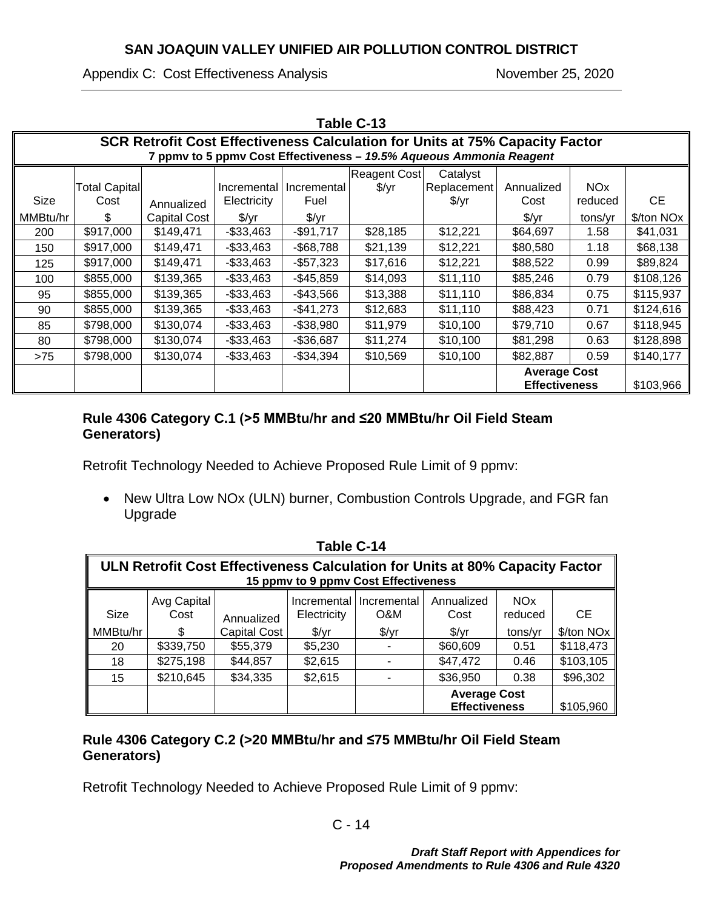Appendix C: Cost Effectiveness Analysis November 25, 2020

| Table C-13 |                                                                                                                                                     |              |                 |                 |                                        |                         |                      |                       |            |  |  |  |
|------------|-----------------------------------------------------------------------------------------------------------------------------------------------------|--------------|-----------------|-----------------|----------------------------------------|-------------------------|----------------------|-----------------------|------------|--|--|--|
|            | SCR Retrofit Cost Effectiveness Calculation for Units at 75% Capacity Factor<br>7 ppmv to 5 ppmv Cost Effectiveness - 19.5% Aqueous Ammonia Reagent |              |                 |                 |                                        |                         |                      |                       |            |  |  |  |
|            |                                                                                                                                                     |              |                 |                 |                                        |                         |                      |                       |            |  |  |  |
|            | Total Capital                                                                                                                                       |              | Incremental     | Incremental     | <b>Reagent Cost</b><br>$\sqrt[6]{y}$ r | Catalyst<br>Replacement | Annualized           | <b>NO<sub>x</sub></b> |            |  |  |  |
| Size       | Cost                                                                                                                                                | Annualized   | Electricity     | Fuel            |                                        | $\sqrt[6]{y}$ r         | Cost                 | reduced               | CE.        |  |  |  |
| MMBtu/hr   | \$                                                                                                                                                  | Capital Cost | $\sqrt[6]{y}$ r | $\sqrt[6]{y}$ r |                                        |                         | $\sqrt[6]{y}$ r      | tons/yr               | \$/ton NOx |  |  |  |
| 200        | \$917,000                                                                                                                                           | \$149,471    | $-$ \$33,463    | $-$91,717$      | \$28,185                               | \$12,221                | \$64,697             | 1.58                  | \$41,031   |  |  |  |
| 150        | \$917,000                                                                                                                                           | \$149,471    | $-$ \$33,463    | $-$ \$68,788    | \$21,139                               | \$12,221                | \$80,580             | 1.18                  | \$68,138   |  |  |  |
| 125        | \$917,000                                                                                                                                           | \$149,471    | $-$ \$33,463    | $-$57,323$      | \$17,616                               | \$12,221                | \$88,522             | 0.99                  | \$89,824   |  |  |  |
| 100        | \$855,000                                                                                                                                           | \$139,365    | $-$ \$33,463    | $-$ \$45,859    | \$14,093                               | \$11,110                | \$85,246             | 0.79                  | \$108,126  |  |  |  |
| 95         | \$855,000                                                                                                                                           | \$139,365    | $-$ \$33,463    | $-$43,566$      | \$13,388                               | \$11,110                | \$86,834             | 0.75                  | \$115,937  |  |  |  |
| 90         | \$855,000                                                                                                                                           | \$139,365    | $-$ \$33,463    | $-$ \$41,273    | \$12,683                               | \$11,110                | \$88,423             | 0.71                  | \$124,616  |  |  |  |
| 85         | \$798,000                                                                                                                                           | \$130,074    | $-$ \$33,463    | $-$ \$38,980    | \$11,979                               | \$10,100                | \$79,710             | 0.67                  | \$118,945  |  |  |  |
| 80         | \$798,000                                                                                                                                           | \$130,074    | $-$ \$33,463    | $-$36,687$      | \$11,274                               | \$10,100                | \$81,298             | 0.63                  | \$128,898  |  |  |  |
| >75        | \$798,000                                                                                                                                           | \$130,074    | $-$ \$33,463    | $-$ \$34,394    | \$10,569                               | \$10,100                | \$82,887             | 0.59                  | \$140,177  |  |  |  |
|            |                                                                                                                                                     |              |                 |                 |                                        |                         | <b>Average Cost</b>  |                       |            |  |  |  |
|            |                                                                                                                                                     |              |                 |                 |                                        |                         | <b>Effectiveness</b> |                       | \$103,966  |  |  |  |

### **Rule 4306 Category C.1 (>5 MMBtu/hr and ≤20 MMBtu/hr Oil Field Steam Generators)**

Retrofit Technology Needed to Achieve Proposed Rule Limit of 9 ppmv:

• New Ultra Low NOx (ULN) burner, Combustion Controls Upgrade, and FGR fan Upgrade

| Table C-14                                                                                                           |                                   |                     |                |                                  |                     |                            |                        |  |  |  |  |
|----------------------------------------------------------------------------------------------------------------------|-----------------------------------|---------------------|----------------|----------------------------------|---------------------|----------------------------|------------------------|--|--|--|--|
| ULN Retrofit Cost Effectiveness Calculation for Units at 80% Capacity Factor<br>15 ppmv to 9 ppmv Cost Effectiveness |                                   |                     |                |                                  |                     |                            |                        |  |  |  |  |
| Size                                                                                                                 | Avg Capital<br>Cost               | Annualized          | Electricity    | Incremental   Incremental<br>O&M | Annualized<br>Cost  | NO <sub>x</sub><br>reduced | <b>CE</b>              |  |  |  |  |
| MMBtu/hr                                                                                                             |                                   | <b>Capital Cost</b> | $\sqrt{$}$ /yr | $\sqrt[6]{y}$ r                  | $\sqrt{5}$ /yr      | tons/yr                    | \$/ton NO <sub>x</sub> |  |  |  |  |
| 20                                                                                                                   | \$339,750                         | \$55,379            | \$5,230        |                                  | \$60,609            | 0.51                       | \$118,473              |  |  |  |  |
| 18                                                                                                                   | \$275,198                         | \$44,857            | \$2,615        |                                  | \$47,472            | 0.46                       | \$103,105              |  |  |  |  |
| 15                                                                                                                   | \$210,645                         | \$34,335            | \$2,615        |                                  | \$36,950            | 0.38                       | \$96,302               |  |  |  |  |
|                                                                                                                      |                                   |                     |                |                                  | <b>Average Cost</b> |                            |                        |  |  |  |  |
|                                                                                                                      | <b>Effectiveness</b><br>\$105,960 |                     |                |                                  |                     |                            |                        |  |  |  |  |

# **Rule 4306 Category C.2 (>20 MMBtu/hr and ≤75 MMBtu/hr Oil Field Steam Generators)**

Retrofit Technology Needed to Achieve Proposed Rule Limit of 9 ppmv: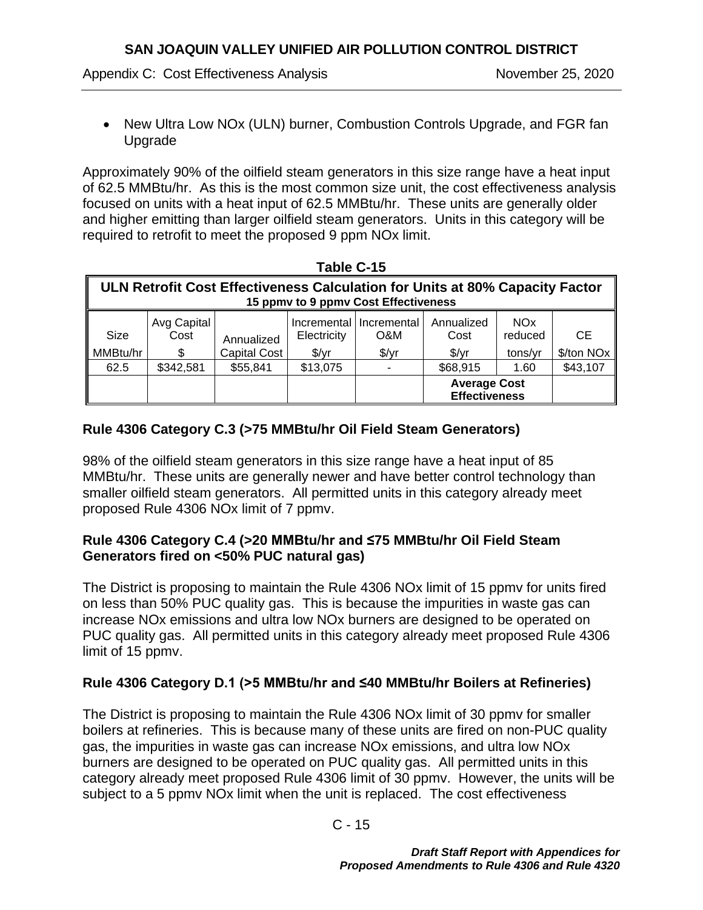• New Ultra Low NOx (ULN) burner, Combustion Controls Upgrade, and FGR fan Upgrade

Approximately 90% of the oilfield steam generators in this size range have a heat input of 62.5 MMBtu/hr. As this is the most common size unit, the cost effectiveness analysis focused on units with a heat input of 62.5 MMBtu/hr. These units are generally older and higher emitting than larger oilfield steam generators. Units in this category will be required to retrofit to meet the proposed 9 ppm NOx limit.

| ULN Retrofit Cost Effectiveness Calculation for Units at 80% Capacity Factor<br>15 ppmv to 9 ppmv Cost Effectiveness                                                                                                                                                                |           |          |          |  |          |      |          |  |  |  |
|-------------------------------------------------------------------------------------------------------------------------------------------------------------------------------------------------------------------------------------------------------------------------------------|-----------|----------|----------|--|----------|------|----------|--|--|--|
| Avg Capital<br>Annualized<br>Incremental   Incremental<br><b>NOx</b><br>Size<br>Cost<br>Electricity<br>O&M<br><b>CE</b><br>reduced<br>Cost<br>Annualized<br>\$/ton NO <sub>x</sub><br><b>Capital Cost</b><br>MMBtu/hr<br>$\frac{f}{f}$<br>$\frac{f}{f}$<br>$\frac{f}{f}$<br>tons/vr |           |          |          |  |          |      |          |  |  |  |
| 62.5                                                                                                                                                                                                                                                                                | \$342,581 | \$55,841 | \$13,075 |  | \$68,915 | 1.60 | \$43,107 |  |  |  |
| <b>Average Cost</b><br><b>Effectiveness</b>                                                                                                                                                                                                                                         |           |          |          |  |          |      |          |  |  |  |

#### **Table C-15**

# **Rule 4306 Category C.3 (>75 MMBtu/hr Oil Field Steam Generators)**

98% of the oilfield steam generators in this size range have a heat input of 85 MMBtu/hr. These units are generally newer and have better control technology than smaller oilfield steam generators. All permitted units in this category already meet proposed Rule 4306 NOx limit of 7 ppmv.

### **Rule 4306 Category C.4 (>20 MMBtu/hr and ≤75 MMBtu/hr Oil Field Steam Generators fired on <50% PUC natural gas)**

The District is proposing to maintain the Rule 4306 NOx limit of 15 ppmv for units fired on less than 50% PUC quality gas. This is because the impurities in waste gas can increase NOx emissions and ultra low NOx burners are designed to be operated on PUC quality gas. All permitted units in this category already meet proposed Rule 4306 limit of 15 ppmv.

### **Rule 4306 Category D.1 (>5 MMBtu/hr and ≤40 MMBtu/hr Boilers at Refineries)**

The District is proposing to maintain the Rule 4306 NOx limit of 30 ppmv for smaller boilers at refineries. This is because many of these units are fired on non-PUC quality gas, the impurities in waste gas can increase NOx emissions, and ultra low NOx burners are designed to be operated on PUC quality gas. All permitted units in this category already meet proposed Rule 4306 limit of 30 ppmv. However, the units will be subject to a 5 ppmv NOx limit when the unit is replaced. The cost effectiveness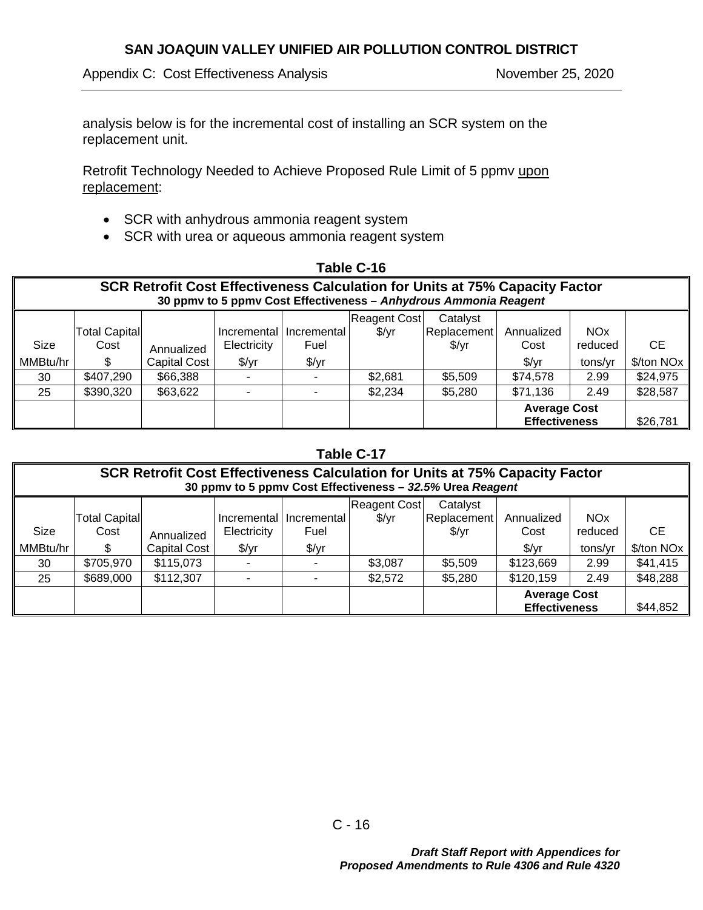analysis below is for the incremental cost of installing an SCR system on the replacement unit.

Retrofit Technology Needed to Achieve Proposed Rule Limit of 5 ppmv upon replacement:

- SCR with anhydrous ammonia reagent system
- SCR with urea or aqueous ammonia reagent system

### **Table C-16**

# **SCR Retrofit Cost Effectiveness Calculation for Units at 75% Capacity Factor 30 ppmv to 5 ppmv Cost Effectiveness –** *Anhydrous Ammonia Reagent*

|          |                      |              |                    |                | Reagent Cost   | Catalyst      |                      |                       |            |
|----------|----------------------|--------------|--------------------|----------------|----------------|---------------|----------------------|-----------------------|------------|
|          | <b>Total Capital</b> |              | <b>Incremental</b> | l Incremental  | $\sqrt{$}$ /yr | Replacement   | Annualized           | <b>NO<sub>x</sub></b> |            |
| Size     | Cost                 | Annualized   | Electricity        | Fuel           |                | $\frac{f}{f}$ | Cost                 | reduced               | CЕ         |
| MMBtu/hr | \$                   | Capital Cost | $\frac{f}{f}$      | $\frac{f}{f}$  |                |               | $\sqrt[6]{y}$ r      | tons/vr               | \$/ton NOx |
| 30       | \$407,290            | \$66,388     |                    | $\blacksquare$ | \$2,681        | \$5,509       | \$74,578             | 2.99                  | \$24,975   |
| 25       | \$390,320            | \$63,622     |                    |                | \$2,234        | \$5,280       | \$71,136             | 2.49                  | \$28,587   |
|          |                      |              |                    |                |                |               | <b>Average Cost</b>  |                       |            |
|          |                      |              |                    |                |                |               | <b>Effectiveness</b> |                       | \$26,781   |

### **Table C-17**

|                                 | SCR Retrofit Cost Effectiveness Calculation for Units at 75% Capacity Factor<br>30 ppmv to 5 ppmv Cost Effectiveness - 32.5% Urea Reagent |              |                 |                           |                 |             |                 |                       |                        |  |  |  |  |
|---------------------------------|-------------------------------------------------------------------------------------------------------------------------------------------|--------------|-----------------|---------------------------|-----------------|-------------|-----------------|-----------------------|------------------------|--|--|--|--|
| <b>Reagent Cost</b><br>Catalyst |                                                                                                                                           |              |                 |                           |                 |             |                 |                       |                        |  |  |  |  |
|                                 | <b>Total Capital</b>                                                                                                                      |              |                 | Incremental I Incremental | $\sqrt[6]{y}$ r | Replacement | Annualized      | <b>NO<sub>x</sub></b> |                        |  |  |  |  |
| Size                            | Cost                                                                                                                                      | Annualized   | Electricity     | Fuel                      |                 | \$/yr       | Cost            | reduced               | CE.                    |  |  |  |  |
| MMBtu/hr                        |                                                                                                                                           | Capital Cost | $\sqrt[6]{y}$ r | $\frac{f}{f}$             |                 |             | $\sqrt[6]{y}$ r | tons/vr               | \$/ton NO <sub>x</sub> |  |  |  |  |
| 30                              | \$705,970                                                                                                                                 | \$115,073    |                 |                           | \$3,087         | \$5,509     | \$123,669       | 2.99                  | \$41,415               |  |  |  |  |
| 25                              | \$689,000                                                                                                                                 | \$112,307    |                 |                           | \$2,572         | \$5,280     | \$120,159       | 2.49                  | \$48,288               |  |  |  |  |
| <b>Average Cost</b>             |                                                                                                                                           |              |                 |                           |                 |             |                 |                       |                        |  |  |  |  |
|                                 | \$44,852<br><b>Effectiveness</b>                                                                                                          |              |                 |                           |                 |             |                 |                       |                        |  |  |  |  |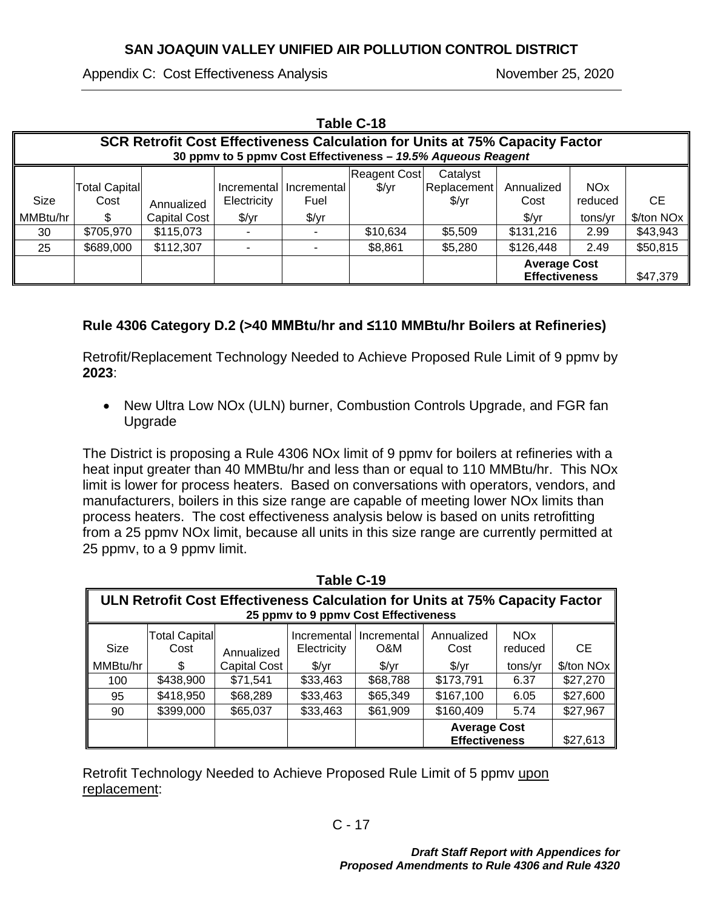Appendix C: Cost Effectiveness Analysis November 25, 2020

|                                                                                                                                              | Table C-18                      |              |               |                           |                 |               |                      |                       |            |  |  |  |
|----------------------------------------------------------------------------------------------------------------------------------------------|---------------------------------|--------------|---------------|---------------------------|-----------------|---------------|----------------------|-----------------------|------------|--|--|--|
| SCR Retrofit Cost Effectiveness Calculation for Units at 75% Capacity Factor<br>30 ppmy to 5 ppmy Cost Effectiveness - 19.5% Aqueous Reagent |                                 |              |               |                           |                 |               |                      |                       |            |  |  |  |
|                                                                                                                                              | <b>Reagent Cost</b><br>Catalyst |              |               |                           |                 |               |                      |                       |            |  |  |  |
|                                                                                                                                              | <b>Total Capital</b>            |              |               | Incremental   Incremental | $\sqrt[6]{y}$ r | Replacement   | Annualized           | <b>NO<sub>x</sub></b> |            |  |  |  |
| <b>Size</b>                                                                                                                                  | Cost                            | Annualized   | Electricity   | Fuel                      |                 | $\frac{f}{f}$ | Cost                 | reduced               | <b>CE</b>  |  |  |  |
| MMBtu/hr                                                                                                                                     | \$.                             | Capital Cost | $\frac{f}{f}$ | $\frac{f}{f}$             |                 |               | $\sqrt{$}$ /yr       | tons/yr               | \$/ton NOx |  |  |  |
| 30                                                                                                                                           | \$705,970                       | \$115,073    |               |                           | \$10,634        | \$5,509       | \$131,216            | 2.99                  | \$43,943   |  |  |  |
| 25                                                                                                                                           | \$689,000                       | \$112,307    |               |                           | \$8,861         | \$5,280       | \$126,448            | 2.49                  | \$50,815   |  |  |  |
|                                                                                                                                              | <b>Average Cost</b>             |              |               |                           |                 |               |                      |                       |            |  |  |  |
|                                                                                                                                              |                                 |              |               |                           |                 |               | <b>Effectiveness</b> |                       | \$47,379   |  |  |  |

# **Rule 4306 Category D.2 (>40 MMBtu/hr and ≤110 MMBtu/hr Boilers at Refineries)**

Retrofit/Replacement Technology Needed to Achieve Proposed Rule Limit of 9 ppmv by **2023**:

• New Ultra Low NOx (ULN) burner, Combustion Controls Upgrade, and FGR fan Upgrade

The District is proposing a Rule 4306 NOx limit of 9 ppmv for boilers at refineries with a heat input greater than 40 MMBtu/hr and less than or equal to 110 MMBtu/hr. This NOx limit is lower for process heaters. Based on conversations with operators, vendors, and manufacturers, boilers in this size range are capable of meeting lower NOx limits than process heaters. The cost effectiveness analysis below is based on units retrofitting from a 25 ppmv NOx limit, because all units in this size range are currently permitted at 25 ppmv, to a 9 ppmv limit.

|                                                                                                                      | Table C-19            |                     |                              |                    |                      |                       |                        |  |  |  |  |  |
|----------------------------------------------------------------------------------------------------------------------|-----------------------|---------------------|------------------------------|--------------------|----------------------|-----------------------|------------------------|--|--|--|--|--|
| ULN Retrofit Cost Effectiveness Calculation for Units at 75% Capacity Factor<br>25 ppmv to 9 ppmv Cost Effectiveness |                       |                     |                              |                    |                      |                       |                        |  |  |  |  |  |
| Size                                                                                                                 | Total Capital<br>Cost | Annualized          | Incremental I<br>Electricity | Incremental<br>O&M | Annualized<br>Cost   | <b>NOx</b><br>reduced | <b>CE</b>              |  |  |  |  |  |
| MMBtu/hr                                                                                                             | S                     | <b>Capital Cost</b> | $\frac{f}{f}$                | $\sqrt[6]{y}$ r    | $\sqrt[6]{y}$ r      | tons/yr               | \$/ton NO <sub>x</sub> |  |  |  |  |  |
| 100                                                                                                                  | \$438,900             | \$71,541            | \$33,463                     | \$68,788           | \$173,791            | 6.37                  | \$27,270               |  |  |  |  |  |
| 95                                                                                                                   | \$418,950             | \$68,289            | \$33,463                     | \$65,349           | \$167,100            | 6.05                  | \$27,600               |  |  |  |  |  |
| 90                                                                                                                   | \$399,000             | \$65,037            | \$33,463                     | \$61,909           | \$160,409            | 5.74                  | \$27,967               |  |  |  |  |  |
|                                                                                                                      |                       |                     |                              |                    | <b>Average Cost</b>  |                       |                        |  |  |  |  |  |
|                                                                                                                      |                       |                     |                              |                    | <b>Effectiveness</b> |                       | \$27,613               |  |  |  |  |  |

Retrofit Technology Needed to Achieve Proposed Rule Limit of 5 ppmv upon replacement:

### $C - 17$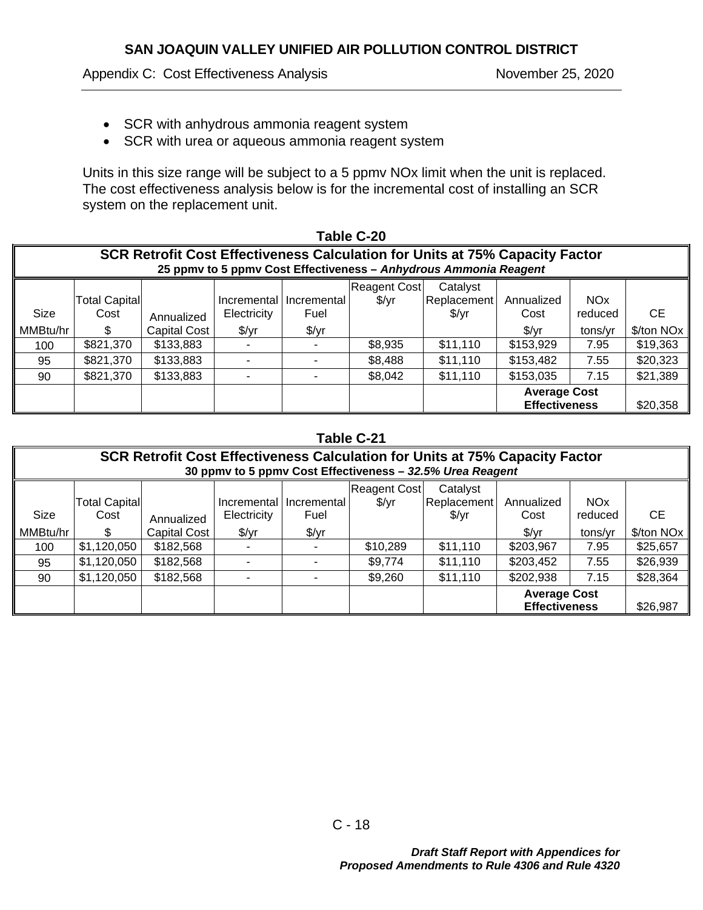- SCR with anhydrous ammonia reagent system
- SCR with urea or aqueous ammonia reagent system

Units in this size range will be subject to a 5 ppmv NOx limit when the unit is replaced. The cost effectiveness analysis below is for the incremental cost of installing an SCR system on the replacement unit.

#### **Table C-20**

#### **SCR Retrofit Cost Effectiveness Calculation for Units at 75% Capacity Factor 25 ppmv to 5 ppmv Cost Effectiveness –** *Anhydrous Ammonia Reagent*

|          |                      |              |                 |                           | <b>Reagent Cost</b> | Catalyst        |                      |            |                        |
|----------|----------------------|--------------|-----------------|---------------------------|---------------------|-----------------|----------------------|------------|------------------------|
|          | <b>Total Capital</b> |              |                 | Incremental   Incremental | $\frac{f}{f}$       | Replacement     | Annualized           | <b>NOx</b> |                        |
| Size     | Cost                 | Annualized   | Electricity     | Fuel                      |                     | $\sqrt[6]{y}$ r | Cost                 | reduced    | СE                     |
| MMBtu/hr | \$                   | Capital Cost | $\sqrt[6]{y}$ r | $\frac{f}{f}$             |                     |                 | $\sqrt[6]{y}$ r      | tons/vr    | \$/ton NO <sub>x</sub> |
| 100      | \$821,370            | \$133,883    |                 |                           | \$8,935             | \$11,110        | \$153,929            | 7.95       | \$19,363               |
| 95       | \$821,370            | \$133,883    |                 |                           | \$8,488             | \$11,110        | \$153,482            | 7.55       | \$20,323               |
| 90       | \$821,370            | \$133,883    |                 |                           | \$8,042             | \$11,110        | \$153,035            | 7.15       | \$21,389               |
|          |                      |              |                 |                           |                     |                 | <b>Average Cost</b>  |            |                        |
|          |                      |              |                 |                           |                     |                 | <b>Effectiveness</b> |            | \$20,358               |

# **Table C-21**

#### **SCR Retrofit Cost Effectiveness Calculation for Units at 75% Capacity Factor 30 ppmv to 5 ppmv Cost Effectiveness –** *32.5% Urea Reagent*

|          |                              |              |                 |                                   | Reagent Cost    | Catalyst             |                      |                                  |            |
|----------|------------------------------|--------------|-----------------|-----------------------------------|-----------------|----------------------|----------------------|----------------------------------|------------|
| Size     | <b>Total Capital</b><br>Cost | Annualized   | Electricity     | Incremental   Incremental<br>Fuel | $\sqrt[6]{y}$ r | Replacement<br>\$/yr | Annualized<br>Cost   | <b>NO<sub>x</sub></b><br>reduced | CE         |
| MMBtu/hr | \$.                          | Capital Cost | $\sqrt[6]{y}$ r | $\frac{f}{f}$                     |                 |                      | $\sqrt[6]{y}$ r      | tons/yr                          | \$/ton NOx |
| 100      | \$1,120,050                  | \$182,568    |                 |                                   | \$10,289        | \$11,110             | \$203,967            | 7.95                             | \$25,657   |
| 95       | \$1,120,050                  | \$182,568    |                 |                                   | \$9,774         | \$11,110             | \$203,452            | 7.55                             | \$26,939   |
| 90       | \$1,120,050                  | \$182,568    |                 |                                   | \$9,260         | \$11,110             | \$202,938            | 7.15                             | \$28,364   |
|          |                              |              |                 |                                   |                 |                      | <b>Average Cost</b>  |                                  |            |
|          |                              |              |                 |                                   |                 |                      | <b>Effectiveness</b> |                                  | \$26,987   |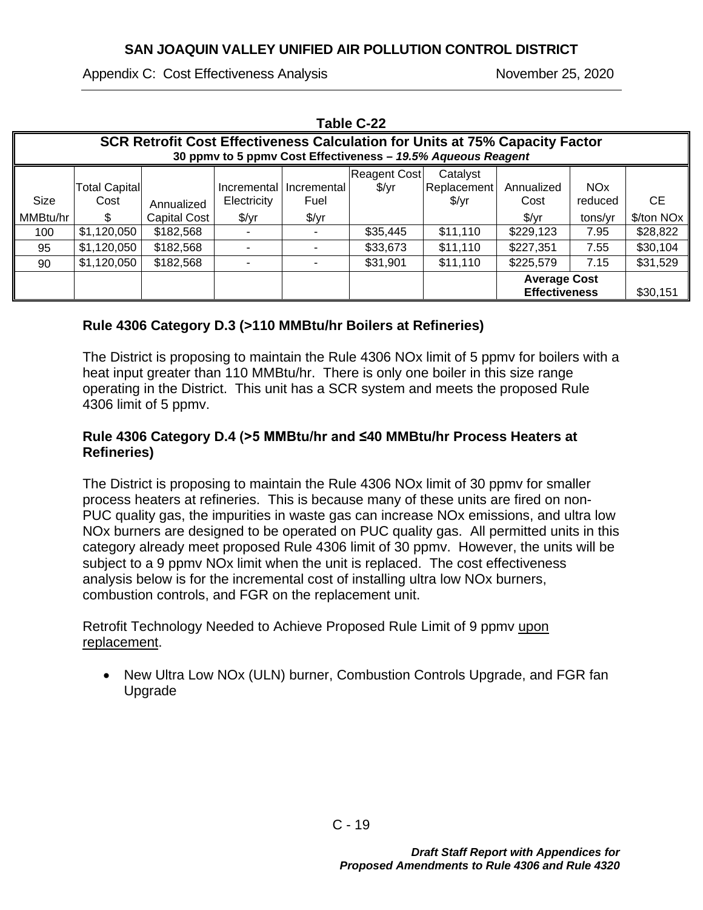Appendix C: Cost Effectiveness Analysis November 25, 2020

|                                                                              | Table C-22                                                                        |              |               |                           |                 |               |                      |                       |                        |  |  |  |
|------------------------------------------------------------------------------|-----------------------------------------------------------------------------------|--------------|---------------|---------------------------|-----------------|---------------|----------------------|-----------------------|------------------------|--|--|--|
| SCR Retrofit Cost Effectiveness Calculation for Units at 75% Capacity Factor |                                                                                   |              |               |                           |                 |               |                      |                       |                        |  |  |  |
| 30 ppmy to 5 ppmy Cost Effectiveness - 19.5% Aqueous Reagent                 |                                                                                   |              |               |                           |                 |               |                      |                       |                        |  |  |  |
|                                                                              | <b>Reagent Cost</b><br>Catalyst                                                   |              |               |                           |                 |               |                      |                       |                        |  |  |  |
|                                                                              | <b>Total Capital</b>                                                              |              |               | Incremental   Incremental | $\sqrt[6]{y}$ r | Replacement   | Annualized           | <b>NO<sub>x</sub></b> |                        |  |  |  |
| Size                                                                         | Cost                                                                              | Annualized   | Electricity   | Fuel                      |                 | $\frac{f}{f}$ | Cost                 | reduced               | CE.                    |  |  |  |
| MMBtu/hr                                                                     | \$.                                                                               | Capital Cost | $\frac{f}{f}$ | $\sqrt[6]{y}$ r           |                 |               | $\sqrt[6]{y}$ r      | tons/vr               | \$/ton NO <sub>x</sub> |  |  |  |
| 100                                                                          | \$1,120,050                                                                       | \$182,568    |               |                           | \$35,445        | \$11,110      | \$229,123            | 7.95                  | \$28,822               |  |  |  |
| 95                                                                           | \$1,120,050                                                                       | \$182,568    |               |                           | \$33,673        | \$11,110      | \$227,351            | 7.55                  | \$30,104               |  |  |  |
| 90                                                                           | \$31,529<br>\$1,120,050<br>\$182,568<br>\$31,901<br>\$11,110<br>\$225,579<br>7.15 |              |               |                           |                 |               |                      |                       |                        |  |  |  |
|                                                                              | <b>Average Cost</b>                                                               |              |               |                           |                 |               |                      |                       |                        |  |  |  |
|                                                                              |                                                                                   |              |               |                           |                 |               | <b>Effectiveness</b> |                       | \$30,151               |  |  |  |

# **Rule 4306 Category D.3 (>110 MMBtu/hr Boilers at Refineries)**

The District is proposing to maintain the Rule 4306 NOx limit of 5 ppmv for boilers with a heat input greater than 110 MMBtu/hr. There is only one boiler in this size range operating in the District. This unit has a SCR system and meets the proposed Rule 4306 limit of 5 ppmv.

### **Rule 4306 Category D.4 (>5 MMBtu/hr and ≤40 MMBtu/hr Process Heaters at Refineries)**

The District is proposing to maintain the Rule 4306 NOx limit of 30 ppmv for smaller process heaters at refineries. This is because many of these units are fired on non-PUC quality gas, the impurities in waste gas can increase NOx emissions, and ultra low NOx burners are designed to be operated on PUC quality gas. All permitted units in this category already meet proposed Rule 4306 limit of 30 ppmv. However, the units will be subject to a 9 ppmv NOx limit when the unit is replaced. The cost effectiveness analysis below is for the incremental cost of installing ultra low NOx burners, combustion controls, and FGR on the replacement unit.

Retrofit Technology Needed to Achieve Proposed Rule Limit of 9 ppmv upon replacement.

• New Ultra Low NOx (ULN) burner, Combustion Controls Upgrade, and FGR fan **Upgrade**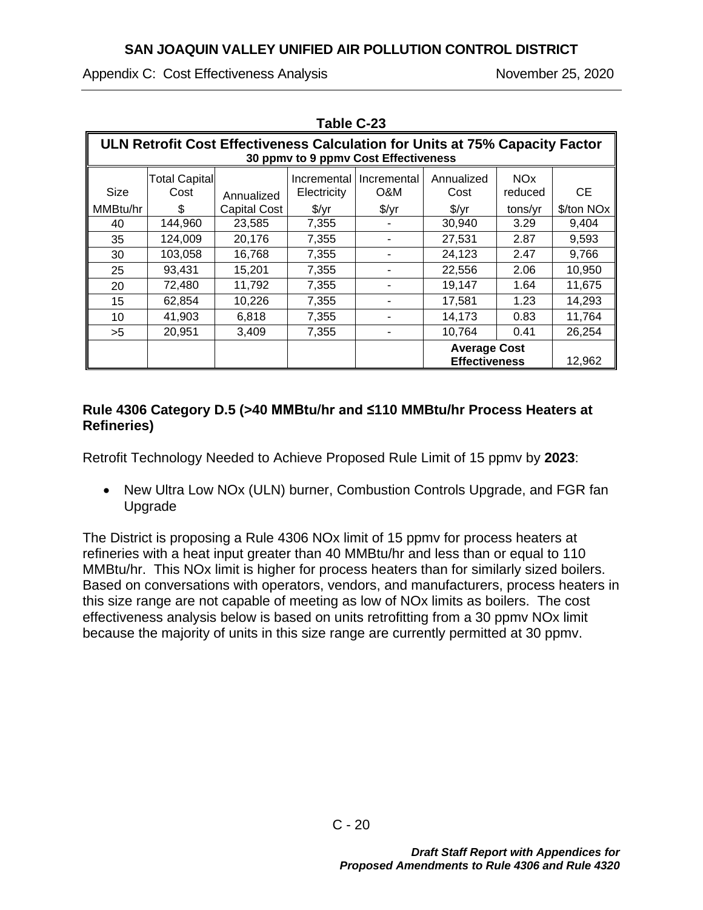#### Appendix C: Cost Effectiveness Analysis November 25, 2020

| Table C-23                                                                                                                                                              |                                            |              |                 |               |                      |         |            |  |  |  |  |
|-------------------------------------------------------------------------------------------------------------------------------------------------------------------------|--------------------------------------------|--------------|-----------------|---------------|----------------------|---------|------------|--|--|--|--|
| ULN Retrofit Cost Effectiveness Calculation for Units at 75% Capacity Factor<br>30 ppmv to 9 ppmv Cost Effectiveness                                                    |                                            |              |                 |               |                      |         |            |  |  |  |  |
| NO <sub>x</sub><br><b>Total Capital</b><br>Annualized<br>Incremental<br>Incremental<br><b>CE</b><br>Size<br>O&M<br>Cost<br>Cost<br>reduced<br>Electricity<br>Annualized |                                            |              |                 |               |                      |         |            |  |  |  |  |
| MMBtu/hr                                                                                                                                                                | \$                                         | Capital Cost | $\sqrt[6]{y}$ r | $\frac{f}{f}$ | $\sqrt[6]{y}$ r      | tons/yr | \$/ton NOx |  |  |  |  |
| 40                                                                                                                                                                      | 144,960                                    | 23,585       | 7,355           |               | 30,940               | 3.29    | 9,404      |  |  |  |  |
| 35                                                                                                                                                                      | 124.009                                    | 20,176       | 7,355           |               | 27,531               | 2.87    | 9,593      |  |  |  |  |
| 30                                                                                                                                                                      | 103.058                                    | 16,768       | 7,355           |               | 24,123               | 2.47    | 9,766      |  |  |  |  |
| 25                                                                                                                                                                      | 93.431                                     | 15,201       | 7,355           |               | 22,556               | 2.06    | 10.950     |  |  |  |  |
| 20                                                                                                                                                                      | 72,480                                     | 11,792       | 7,355           |               | 19,147               | 1.64    | 11,675     |  |  |  |  |
| 15                                                                                                                                                                      | 62,854                                     | 10,226       | 7,355           |               | 17,581               | 1.23    | 14,293     |  |  |  |  |
| 10                                                                                                                                                                      | 41,903                                     | 6,818        | 7,355           |               | 14,173               | 0.83    | 11,764     |  |  |  |  |
| >5                                                                                                                                                                      | 20,951<br>10.764<br>3,409<br>7,355<br>0.41 |              |                 |               |                      |         |            |  |  |  |  |
|                                                                                                                                                                         |                                            |              |                 |               | <b>Average Cost</b>  |         |            |  |  |  |  |
|                                                                                                                                                                         |                                            |              |                 |               | <b>Effectiveness</b> |         | 12,962     |  |  |  |  |

### **Rule 4306 Category D.5 (>40 MMBtu/hr and ≤110 MMBtu/hr Process Heaters at Refineries)**

Retrofit Technology Needed to Achieve Proposed Rule Limit of 15 ppmv by **2023**:

• New Ultra Low NOx (ULN) burner, Combustion Controls Upgrade, and FGR fan Upgrade

The District is proposing a Rule 4306 NOx limit of 15 ppmv for process heaters at refineries with a heat input greater than 40 MMBtu/hr and less than or equal to 110 MMBtu/hr. This NOx limit is higher for process heaters than for similarly sized boilers. Based on conversations with operators, vendors, and manufacturers, process heaters in this size range are not capable of meeting as low of NOx limits as boilers. The cost effectiveness analysis below is based on units retrofitting from a 30 ppmv NOx limit because the majority of units in this size range are currently permitted at 30 ppmv.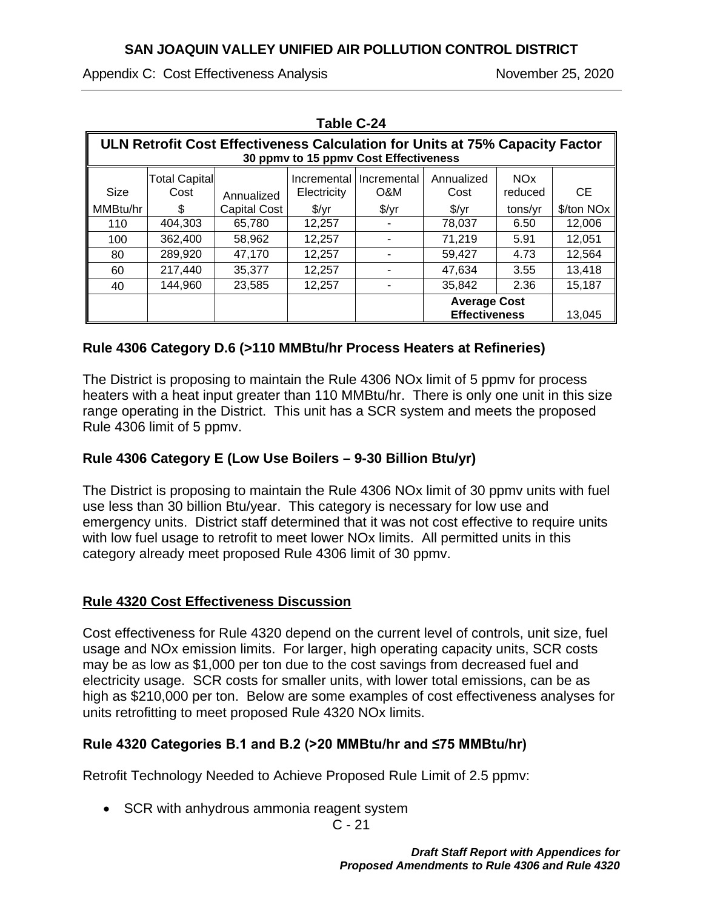#### Appendix C: Cost Effectiveness Analysis November 25, 2020

| Table C-24                                                                                                                                                        |         |                     |                 |                 |                      |         |                        |  |  |  |  |
|-------------------------------------------------------------------------------------------------------------------------------------------------------------------|---------|---------------------|-----------------|-----------------|----------------------|---------|------------------------|--|--|--|--|
| ULN Retrofit Cost Effectiveness Calculation for Units at 75% Capacity Factor<br>30 ppmv to 15 ppmv Cost Effectiveness                                             |         |                     |                 |                 |                      |         |                        |  |  |  |  |
| NO <sub>x</sub><br><b>Total Capital</b><br>Annualized<br>Incremental<br>Incremental<br>Size<br>CE.<br>Cost<br>O&M<br>Electricity<br>Cost<br>reduced<br>Annualized |         |                     |                 |                 |                      |         |                        |  |  |  |  |
| MMBtu/hr                                                                                                                                                          | \$      | <b>Capital Cost</b> | $\sqrt[6]{y}$ r | $\sqrt[6]{y}$ r | $\sqrt[6]{y}$ r      | tons/vr | \$/ton NO <sub>x</sub> |  |  |  |  |
| 110                                                                                                                                                               | 404.303 | 65,780              | 12.257          |                 | 78,037               | 6.50    | 12,006                 |  |  |  |  |
| 100                                                                                                                                                               | 362,400 | 58,962              | 12,257          |                 | 71,219               | 5.91    | 12,051                 |  |  |  |  |
| 80                                                                                                                                                                | 289,920 | 47,170              | 12,257          |                 | 59,427               | 4.73    | 12,564                 |  |  |  |  |
| 60                                                                                                                                                                | 217,440 | 35,377              | 12,257          |                 | 47.634               | 3.55    | 13,418                 |  |  |  |  |
| 40                                                                                                                                                                | 144,960 | 23,585              | 12,257          |                 | 35,842               | 2.36    | 15,187                 |  |  |  |  |
|                                                                                                                                                                   |         |                     |                 |                 | <b>Average Cost</b>  |         |                        |  |  |  |  |
|                                                                                                                                                                   |         |                     |                 |                 | <b>Effectiveness</b> |         | 13.045                 |  |  |  |  |

### **Rule 4306 Category D.6 (>110 MMBtu/hr Process Heaters at Refineries)**

The District is proposing to maintain the Rule 4306 NOx limit of 5 ppmv for process heaters with a heat input greater than 110 MMBtu/hr. There is only one unit in this size range operating in the District. This unit has a SCR system and meets the proposed Rule 4306 limit of 5 ppmv.

#### **Rule 4306 Category E (Low Use Boilers – 9-30 Billion Btu/yr)**

The District is proposing to maintain the Rule 4306 NOx limit of 30 ppmv units with fuel use less than 30 billion Btu/year. This category is necessary for low use and emergency units. District staff determined that it was not cost effective to require units with low fuel usage to retrofit to meet lower NOx limits. All permitted units in this category already meet proposed Rule 4306 limit of 30 ppmv.

#### **Rule 4320 Cost Effectiveness Discussion**

Cost effectiveness for Rule 4320 depend on the current level of controls, unit size, fuel usage and NOx emission limits. For larger, high operating capacity units, SCR costs may be as low as \$1,000 per ton due to the cost savings from decreased fuel and electricity usage. SCR costs for smaller units, with lower total emissions, can be as high as \$210,000 per ton. Below are some examples of cost effectiveness analyses for units retrofitting to meet proposed Rule 4320 NOx limits.

#### **Rule 4320 Categories B.1 and B.2 (>20 MMBtu/hr and ≤75 MMBtu/hr)**

Retrofit Technology Needed to Achieve Proposed Rule Limit of 2.5 ppmv:

• SCR with anhydrous ammonia reagent system

 $C - 21$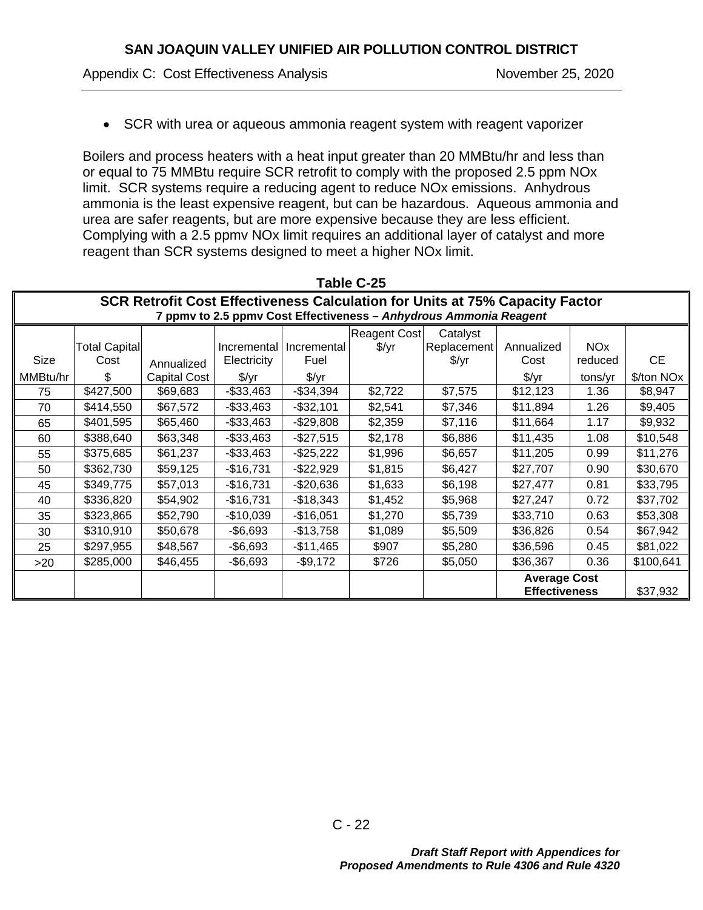• SCR with urea or aqueous ammonia reagent system with reagent vaporizer

Boilers and process heaters with a heat input greater than 20 MMBtu/hr and less than or equal to 75 MMBtu require SCR retrofit to comply with the proposed 2.5 ppm NOx limit. SCR systems require a reducing agent to reduce NOx emissions. Anhydrous ammonia is the least expensive reagent, but can be hazardous. Aqueous ammonia and urea are safer reagents, but are more expensive because they are less efficient. Complying with a 2.5 ppmv NOx limit requires an additional layer of catalyst and more reagent than SCR systems designed to meet a higher NOx limit.

| Table C-25                                                                                                                                        |                      |              |                 |               |                     |             |                                             |                 |            |  |  |  |  |
|---------------------------------------------------------------------------------------------------------------------------------------------------|----------------------|--------------|-----------------|---------------|---------------------|-------------|---------------------------------------------|-----------------|------------|--|--|--|--|
| SCR Retrofit Cost Effectiveness Calculation for Units at 75% Capacity Factor<br>7 ppmv to 2.5 ppmv Cost Effectiveness - Anhydrous Ammonia Reagent |                      |              |                 |               |                     |             |                                             |                 |            |  |  |  |  |
|                                                                                                                                                   |                      |              |                 |               | <b>Reagent Cost</b> | Catalyst    |                                             |                 |            |  |  |  |  |
|                                                                                                                                                   | <b>Total Capital</b> |              | Incremental     | Incremental   | $\sqrt[6]{y}$ r     | Replacement | Annualized                                  | NO <sub>x</sub> |            |  |  |  |  |
| Size                                                                                                                                              | Cost                 | Annualized   | Electricity     | Fuel          |                     | \$/yr       | Cost                                        | reduced         | <b>CE</b>  |  |  |  |  |
| MMBtu/hr                                                                                                                                          | \$                   | Capital Cost | $\sqrt[6]{y}$ r | $\frac{f}{f}$ |                     |             | $\sqrt[6]{y}$ r                             | tons/yr         | \$/ton NOx |  |  |  |  |
| 75                                                                                                                                                | \$427,500            | \$69,683     | $-$ \$33,463    | $-$34,394$    | \$2,722             | \$7,575     | \$12,123                                    | 1.36            | \$8,947    |  |  |  |  |
| 70                                                                                                                                                | \$414,550            | \$67,572     | $-$ \$33,463    | $-$ \$32,101  | \$2,541             | \$7,346     | \$11,894                                    | 1.26            | \$9,405    |  |  |  |  |
| 65                                                                                                                                                | \$401,595            | \$65,460     | $-$ \$33,463    | $-$29,808$    | \$2,359             | \$7,116     | \$11,664                                    | 1.17            | \$9,932    |  |  |  |  |
| 60                                                                                                                                                | \$388,640            | \$63,348     | $-$ \$33,463    | $-$27,515$    | \$2,178             | \$6,886     | \$11,435                                    | 1.08            | \$10,548   |  |  |  |  |
| 55                                                                                                                                                | \$375,685            | \$61,237     | $-$ \$33,463    | $-$ \$25,222  | \$1,996             | \$6,657     | \$11,205                                    | 0.99            | \$11,276   |  |  |  |  |
| 50                                                                                                                                                | \$362,730            | \$59,125     | -\$16,731       | -\$22,929     | \$1,815             | \$6,427     | \$27,707                                    | 0.90            | \$30,670   |  |  |  |  |
| 45                                                                                                                                                | \$349,775            | \$57,013     | $-$16,731$      | $-$20,636$    | \$1,633             | \$6,198     | \$27,477                                    | 0.81            | \$33,795   |  |  |  |  |
| 40                                                                                                                                                | \$336,820            | \$54,902     | $-$16,731$      | -\$18,343     | \$1,452             | \$5,968     | \$27,247                                    | 0.72            | \$37,702   |  |  |  |  |
| 35                                                                                                                                                | \$323,865            | \$52,790     | $-$10,039$      | $-$16,051$    | \$1,270             | \$5,739     | \$33,710                                    | 0.63            | \$53,308   |  |  |  |  |
| 30                                                                                                                                                | \$310,910            | \$50,678     | $-$ \$6,693     | $-$13,758$    | \$1,089             | \$5,509     | \$36,826                                    | 0.54            | \$67,942   |  |  |  |  |
| 25                                                                                                                                                | \$297,955            | \$48,567     | -\$6,693        | -\$11,465     | \$907               | \$5,280     | \$36,596                                    | 0.45            | \$81,022   |  |  |  |  |
| >20                                                                                                                                               | \$285,000            | \$46,455     | $-$ \$6,693     | $-$9,172$     | \$726               | \$5,050     | \$36,367                                    | 0.36            | \$100,641  |  |  |  |  |
|                                                                                                                                                   |                      |              |                 |               |                     |             | <b>Average Cost</b><br><b>Effectiveness</b> |                 | \$37,932   |  |  |  |  |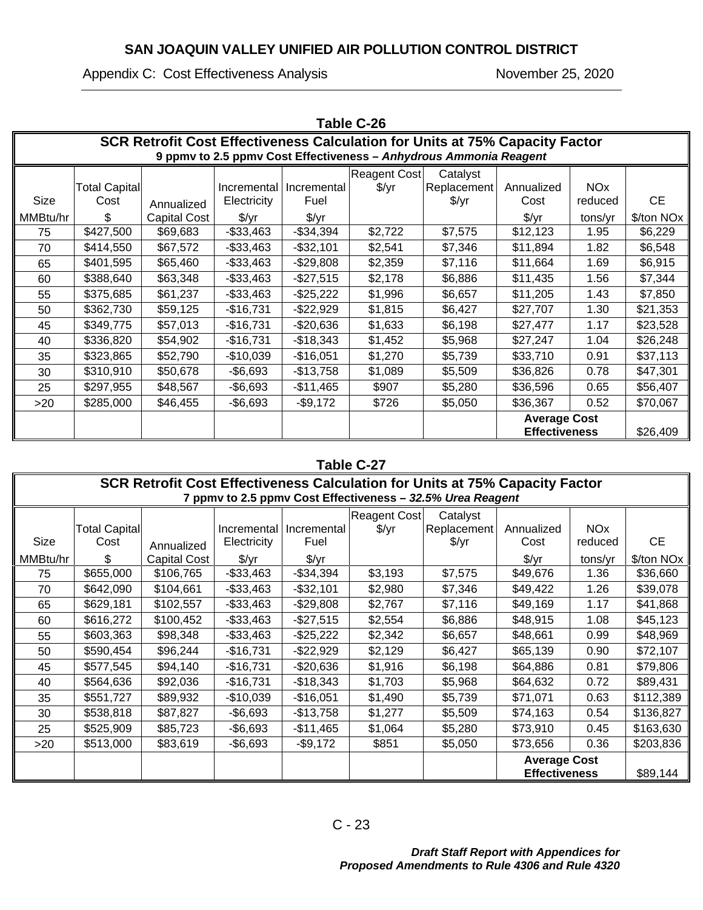#### Appendix C: Cost Effectiveness Analysis November 25, 2020

| <b>Table C-26</b>                                                                                                                                 |                      |              |               |               |               |               |                      |                       |            |  |  |  |
|---------------------------------------------------------------------------------------------------------------------------------------------------|----------------------|--------------|---------------|---------------|---------------|---------------|----------------------|-----------------------|------------|--|--|--|
| SCR Retrofit Cost Effectiveness Calculation for Units at 75% Capacity Factor<br>9 ppmv to 2.5 ppmv Cost Effectiveness - Anhydrous Ammonia Reagent |                      |              |               |               |               |               |                      |                       |            |  |  |  |
|                                                                                                                                                   |                      |              |               |               | Reagent Cost  | Catalyst      |                      |                       |            |  |  |  |
|                                                                                                                                                   | <b>Total Capital</b> |              | Incremental   | Incremental   | $\frac{f}{f}$ | Replacement   | Annualized           | <b>NO<sub>x</sub></b> |            |  |  |  |
| Size                                                                                                                                              | Cost                 | Annualized   | Electricity   | Fuel          |               | $\frac{f}{f}$ | Cost                 | reduced               | <b>CE</b>  |  |  |  |
| MMBtu/hr                                                                                                                                          | \$                   | Capital Cost | $\frac{f}{f}$ | $\frac{f}{f}$ |               |               | $\sqrt[6]{y}$ r      | tons/yr               | \$/ton NOx |  |  |  |
| 75                                                                                                                                                | \$427,500            | \$69,683     | $-$ \$33,463  | $-$ \$34,394  | \$2,722       | \$7,575       | \$12,123             | 1.95                  | \$6,229    |  |  |  |
| 70                                                                                                                                                | \$414,550            | \$67,572     | $-$ \$33,463  | $-$ \$32,101  | \$2,541       | \$7,346       | \$11,894             | 1.82                  | \$6,548    |  |  |  |
| \$401,595<br>\$65,460<br>$-$29,808$<br>\$6,915<br>$-$ \$33,463<br>\$2,359<br>\$7,116<br>\$11,664<br>1.69<br>65                                    |                      |              |               |               |               |               |                      |                       |            |  |  |  |
| 60                                                                                                                                                | \$388,640            | \$63,348     | $-$ \$33,463  | $-$ \$27,515  | \$2,178       | \$6,886       | \$11,435             | 1.56                  | \$7,344    |  |  |  |
| 55                                                                                                                                                | \$375,685            | \$61,237     | -\$33,463     | $-$ \$25,222  | \$1,996       | \$6,657       | \$11,205             | 1.43                  | \$7,850    |  |  |  |
| 50                                                                                                                                                | \$362,730            | \$59,125     | $-$16,731$    | $-$22,929$    | \$1,815       | \$6,427       | \$27,707             | 1.30                  | \$21,353   |  |  |  |
| 45                                                                                                                                                | \$349,775            | \$57,013     | $-$16,731$    | $-$20,636$    | \$1,633       | \$6,198       | \$27,477             | 1.17                  | \$23,528   |  |  |  |
| 40                                                                                                                                                | \$336,820            | \$54,902     | $-$16,731$    | $-$18,343$    | \$1,452       | \$5,968       | \$27,247             | 1.04                  | \$26,248   |  |  |  |
| 35                                                                                                                                                | \$323,865            | \$52,790     | $-$10,039$    | $-$16,051$    | \$1,270       | \$5,739       | \$33,710             | 0.91                  | \$37,113   |  |  |  |
| 30                                                                                                                                                | \$310,910            | \$50,678     | $-$ \$6,693   | $-$13,758$    | \$1,089       | \$5,509       | \$36,826             | 0.78                  | \$47,301   |  |  |  |
| 25                                                                                                                                                | \$297,955            | \$48,567     | $-$ \$6,693   | $-$11,465$    | \$907         | \$5,280       | \$36,596             | 0.65                  | \$56,407   |  |  |  |
| >20                                                                                                                                               | \$285,000            | \$46,455     | $-$ \$6,693   | -\$9,172      | \$726         | \$5,050       | \$36,367             | 0.52                  | \$70,067   |  |  |  |
|                                                                                                                                                   |                      |              |               |               |               |               | <b>Average Cost</b>  |                       |            |  |  |  |
|                                                                                                                                                   |                      |              |               |               |               |               | <b>Effectiveness</b> |                       | \$26,409   |  |  |  |

#### **Table C-27**

#### **SCR Retrofit Cost Effectiveness Calculation for Units at 75% Capacity Factor 7 ppmv to 2.5 ppmv Cost Effectiveness –** *32.5% Urea Reagent*

|          |                      |                     |                 |               | <b>Reagent Cost</b> | Catalyst     |                      |            |            |
|----------|----------------------|---------------------|-----------------|---------------|---------------------|--------------|----------------------|------------|------------|
|          | <b>Total Capital</b> |                     | Incremental     | Incremental   | $\frac{f}{f}$       | Replacement  | Annualized           | <b>NOx</b> |            |
| Size     | Cost                 | Annualized          | Electricity     | Fuel          |                     | $\sqrt{$yr}$ | Cost                 | reduced    | <b>CE</b>  |
| MMBtu/hr | \$                   | <b>Capital Cost</b> | $\sqrt[6]{y}$ r | $\frac{f}{f}$ |                     |              | $\sqrt[6]{y}$ r      | tons/yr    | \$/ton NOx |
| 75       | \$655,000            | \$106,765           | $- $33,463$     | $-$34,394$    | \$3,193             | \$7,575      | \$49,676             | 1.36       | \$36,660   |
| 70       | \$642,090            | \$104,661           | $-$ \$33,463    | $-$ \$32,101  | \$2,980             | \$7,346      | \$49,422             | 1.26       | \$39,078   |
| 65       | \$629,181            | \$102,557           | $-$ \$33,463    | $-$29,808$    | \$2,767             | \$7,116      | \$49,169             | 1.17       | \$41,868   |
| 60       | \$616,272            | \$100,452           | $-$ \$33,463    | $-$ \$27,515  | \$2,554             | \$6,886      | \$48,915             | 1.08       | \$45,123   |
| 55       | \$603,363            | \$98,348            | $-$ \$33,463    | $-$ \$25,222  | \$2,342             | \$6,657      | \$48,661             | 0.99       | \$48,969   |
| 50       | \$590,454            | \$96,244            | $-$16,731$      | $-$ \$22,929  | \$2,129             | \$6,427      | \$65,139             | 0.90       | \$72,107   |
| 45       | \$577,545            | \$94,140            | $-$16,731$      | $-$20,636$    | \$1,916             | \$6,198      | \$64,886             | 0.81       | \$79,806   |
| 40       | \$564,636            | \$92,036            | $-$16,731$      | $-$18,343$    | \$1,703             | \$5,968      | \$64,632             | 0.72       | \$89,431   |
| 35       | \$551,727            | \$89,932            | $-$10,039$      | $-$16,051$    | \$1,490             | \$5,739      | \$71,071             | 0.63       | \$112,389  |
| 30       | \$538,818            | \$87,827            | $-$ \$6,693     | $-$13,758$    | \$1,277             | \$5,509      | \$74,163             | 0.54       | \$136,827  |
| 25       | \$525,909            | \$85,723            | $-$ \$6,693     | $-$11,465$    | \$1,064             | \$5,280      | \$73,910             | 0.45       | \$163,630  |
| >20      | \$513,000            | \$83,619            | $-$ \$6,693     | $-$ \$9,172   | \$851               | \$5,050      | \$73,656             | 0.36       | \$203,836  |
|          |                      |                     |                 |               |                     |              | <b>Average Cost</b>  |            |            |
|          |                      |                     |                 |               |                     |              | <b>Effectiveness</b> |            | \$89,144   |

# $C - 23$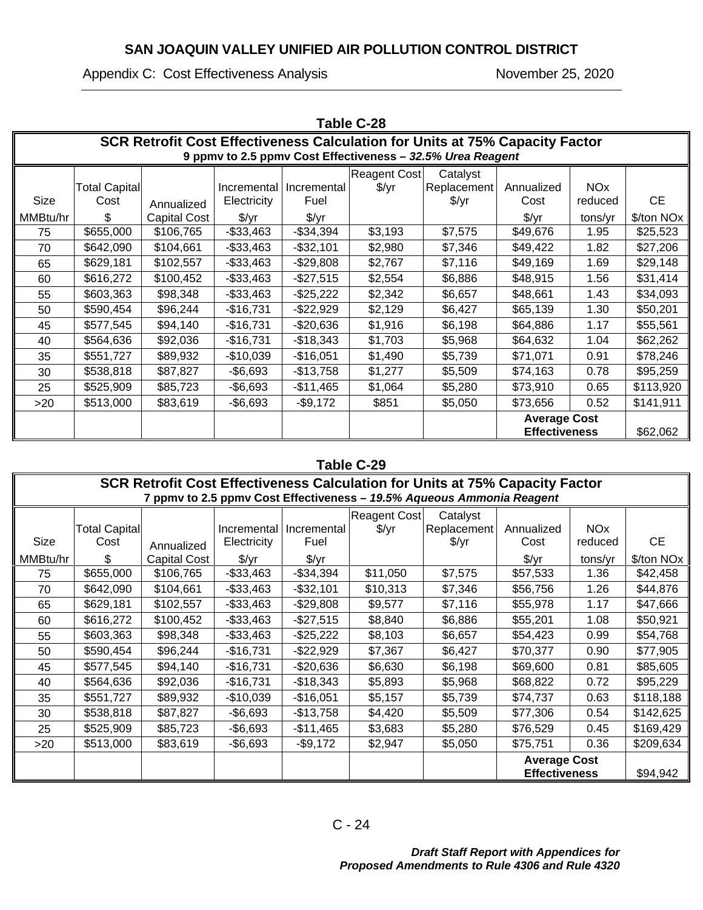#### Appendix C: Cost Effectiveness Analysis November 25, 2020

| Table C-28                                                                                                                                 |                      |              |               |                 |                 |                 |                      |                       |            |  |  |  |
|--------------------------------------------------------------------------------------------------------------------------------------------|----------------------|--------------|---------------|-----------------|-----------------|-----------------|----------------------|-----------------------|------------|--|--|--|
| SCR Retrofit Cost Effectiveness Calculation for Units at 75% Capacity Factor<br>9 ppmv to 2.5 ppmv Cost Effectiveness - 32.5% Urea Reagent |                      |              |               |                 |                 |                 |                      |                       |            |  |  |  |
|                                                                                                                                            |                      |              |               |                 | Reagent Cost    | Catalyst        |                      |                       |            |  |  |  |
|                                                                                                                                            | <b>Total Capital</b> |              | Incremental   | Incremental     | $\sqrt[6]{y}$ r | Replacement     | Annualized           | <b>NO<sub>x</sub></b> |            |  |  |  |
| Size                                                                                                                                       | Cost                 | Annualized   | Electricity   | Fuel            |                 | $\sqrt[6]{y}$ r | Cost                 | reduced               | <b>CE</b>  |  |  |  |
| MMBtu/hr                                                                                                                                   | \$                   | Capital Cost | $\frac{f}{f}$ | $\sqrt[6]{y}$ r |                 |                 | $\sqrt[6]{y}$ r      | tons/yr               | \$/ton NOx |  |  |  |
| 75                                                                                                                                         | \$655,000            | \$106,765    | $-$ \$33,463  | $-$ \$34,394    | \$3,193         | \$7,575         | \$49,676             | 1.95                  | \$25,523   |  |  |  |
| 70                                                                                                                                         | \$642,090            | \$104,661    | $-$ \$33,463  | $-$ \$32,101    | \$2,980         | \$7,346         | \$49,422             | 1.82                  | \$27,206   |  |  |  |
| \$629,181<br>\$102,557<br>$-$29,808$<br>\$29,148<br>$-$ \$33,463<br>\$2,767<br>\$7,116<br>\$49,169<br>65<br>1.69                           |                      |              |               |                 |                 |                 |                      |                       |            |  |  |  |
| 60                                                                                                                                         | \$616,272            | \$100,452    | $-$ \$33,463  | $-$27,515$      | \$2,554         | \$6,886         | \$48,915             | 1.56                  | \$31,414   |  |  |  |
| 55                                                                                                                                         | \$603,363            | \$98,348     | $-$ \$33,463  | $-$ \$25,222    | \$2,342         | \$6,657         | \$48,661             | 1.43                  | \$34,093   |  |  |  |
| 50                                                                                                                                         | \$590,454            | \$96,244     | $-$16,731$    | $-$ \$22,929    | \$2,129         | \$6,427         | \$65,139             | 1.30                  | \$50,201   |  |  |  |
| 45                                                                                                                                         | \$577,545            | \$94,140     | $-$16,731$    | $-$20,636$      | \$1,916         | \$6,198         | \$64,886             | 1.17                  | \$55,561   |  |  |  |
| 40                                                                                                                                         | \$564,636            | \$92,036     | $-$16,731$    | $-$18,343$      | \$1,703         | \$5,968         | \$64,632             | 1.04                  | \$62,262   |  |  |  |
| 35                                                                                                                                         | \$551,727            | \$89,932     | $-$10,039$    | $-$16,051$      | \$1,490         | \$5,739         | \$71,071             | 0.91                  | \$78,246   |  |  |  |
| 30                                                                                                                                         | \$538,818            | \$87,827     | $-$ \$6,693   | $-$13,758$      | \$1,277         | \$5,509         | \$74,163             | 0.78                  | \$95,259   |  |  |  |
| 25                                                                                                                                         | \$525,909            | \$85,723     | $-$ \$6,693   | $-$11,465$      | \$1,064         | \$5,280         | \$73,910             | 0.65                  | \$113,920  |  |  |  |
| >20                                                                                                                                        | \$513,000            | \$83,619     | $-$ \$6,693   | $-$ \$9,172     | \$851           | \$5,050         | \$73,656             | 0.52                  | \$141,911  |  |  |  |
|                                                                                                                                            |                      |              |               |                 |                 |                 | <b>Average Cost</b>  |                       |            |  |  |  |
|                                                                                                                                            |                      |              |               |                 |                 |                 | <b>Effectiveness</b> |                       | \$62,062   |  |  |  |

#### **Table C-29**

#### **SCR Retrofit Cost Effectiveness Calculation for Units at 75% Capacity Factor 7 ppmv to 2.5 ppmv Cost Effectiveness –** *19.5% Aqueous Ammonia Reagent*

|          |                      |                     |                 |               | <b>Reagent Cost</b> | Catalyst     |                      |                       |            |
|----------|----------------------|---------------------|-----------------|---------------|---------------------|--------------|----------------------|-----------------------|------------|
|          | <b>Total Capital</b> |                     | Incremental     | Incremental   | $\frac{f}{f}$       | Replacement  | Annualized           | <b>NO<sub>x</sub></b> |            |
| Size     | Cost                 | Annualized          | Electricity     | Fuel          |                     | $\sqrt{$yr}$ | Cost                 | reduced               | CE         |
| MMBtu/hr | \$                   | <b>Capital Cost</b> | $\sqrt[6]{y}$ r | $\frac{f}{f}$ |                     |              | $\sqrt[6]{y}$ r      | tons/yr               | \$/ton NOx |
| 75       | \$655,000            | \$106,765           | $- $33,463$     | $-$34,394$    | \$11,050            | \$7,575      | \$57,533             | 1.36                  | \$42,458   |
| 70       | \$642,090            | \$104,661           | $- $33,463$     | $-$ \$32,101  | \$10,313            | \$7,346      | \$56,756             | 1.26                  | \$44,876   |
| 65       | \$629,181            | \$102,557           | $-$ \$33,463    | $-$29,808$    | \$9,577             | \$7,116      | \$55,978             | 1.17                  | \$47,666   |
| 60       | \$616,272            | \$100,452           | $- $33,463$     | $-$ \$27,515  | \$8,840             | \$6,886      | \$55,201             | 1.08                  | \$50,921   |
| 55       | \$603,363            | \$98,348            | $-$ \$33,463    | $-$ \$25,222  | \$8,103             | \$6,657      | \$54,423             | 0.99                  | \$54,768   |
| 50       | \$590,454            | \$96,244            | $-$16,731$      | $-$22,929$    | \$7,367             | \$6,427      | \$70,377             | 0.90                  | \$77,905   |
| 45       | \$577,545            | \$94,140            | $-$16,731$      | $-$20,636$    | \$6,630             | \$6,198      | \$69,600             | 0.81                  | \$85,605   |
| 40       | \$564,636            | \$92,036            | $-$16,731$      | $-$18,343$    | \$5,893             | \$5,968      | \$68,822             | 0.72                  | \$95,229   |
| 35       | \$551,727            | \$89,932            | $-$10,039$      | $-$16,051$    | \$5,157             | \$5,739      | \$74,737             | 0.63                  | \$118,188  |
| 30       | \$538,818            | \$87,827            | $-$6,693$       | $-$13,758$    | \$4,420             | \$5,509      | \$77,306             | 0.54                  | \$142,625  |
| 25       | \$525,909            | \$85,723            | $-$ \$6,693     | $-$11,465$    | \$3,683             | \$5,280      | \$76,529             | 0.45                  | \$169,429  |
| >20      | \$513,000            | \$83,619            | $-$ \$6,693     | $-$ \$9,172   | \$2,947             | \$5,050      | \$75,751             | 0.36                  | \$209,634  |
|          |                      |                     |                 |               |                     |              | <b>Average Cost</b>  |                       |            |
|          |                      |                     |                 |               |                     |              | <b>Effectiveness</b> |                       | \$94,942   |

# $C - 24$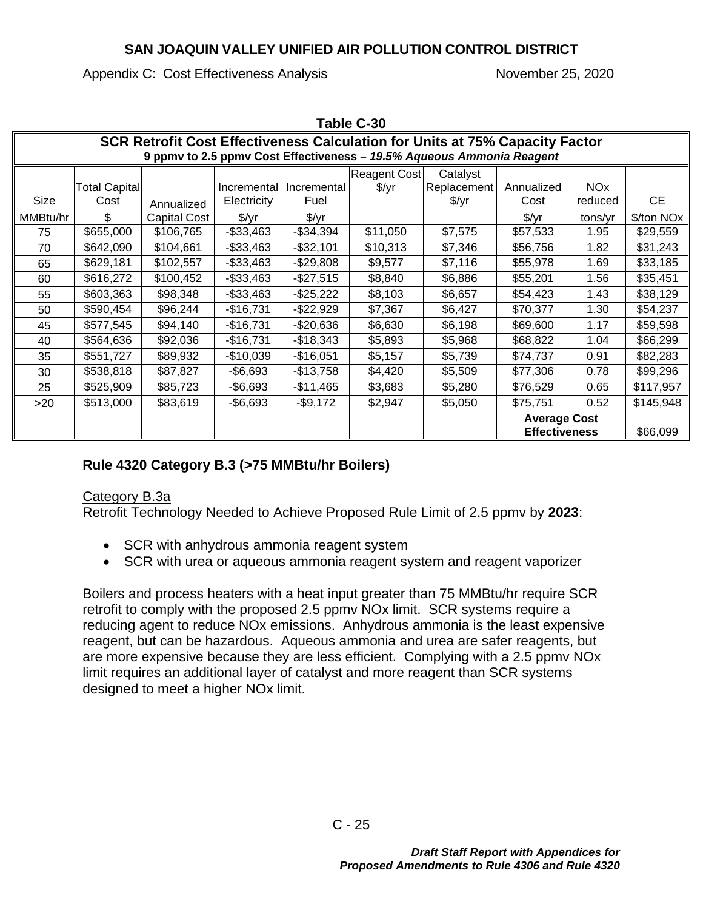#### Appendix C: Cost Effectiveness Analysis November 25, 2020

|                                                                                                                                                       | Table C-30           |              |               |                 |                     |               |                      |                       |            |  |  |  |  |
|-------------------------------------------------------------------------------------------------------------------------------------------------------|----------------------|--------------|---------------|-----------------|---------------------|---------------|----------------------|-----------------------|------------|--|--|--|--|
| SCR Retrofit Cost Effectiveness Calculation for Units at 75% Capacity Factor<br>9 ppmv to 2.5 ppmv Cost Effectiveness - 19.5% Aqueous Ammonia Reagent |                      |              |               |                 |                     |               |                      |                       |            |  |  |  |  |
|                                                                                                                                                       |                      |              |               |                 | <b>Reagent Cost</b> | Catalyst      |                      |                       |            |  |  |  |  |
|                                                                                                                                                       | <b>Total Capital</b> |              | Incremental   | Incremental     | $\frac{f}{f}$       | Replacement   | Annualized           | <b>NO<sub>x</sub></b> |            |  |  |  |  |
| Size                                                                                                                                                  | Cost                 | Annualized   | Electricity   | Fuel            |                     | $\frac{f}{f}$ | Cost                 | reduced               | <b>CE</b>  |  |  |  |  |
| MMBtu/hr                                                                                                                                              | S                    | Capital Cost | $\frac{f}{f}$ | $\sqrt[6]{y}$ r |                     |               | $\frac{f}{f}$        | tons/yr               | \$/ton NOx |  |  |  |  |
| 75                                                                                                                                                    | \$655,000            | \$106,765    | $- $33,463$   | $-$34,394$      | \$11,050            | \$7,575       | \$57,533             | 1.95                  | \$29,559   |  |  |  |  |
| 70                                                                                                                                                    | \$642,090            | \$104,661    | $-$ \$33,463  | $-$ \$32,101    | \$10,313            | \$7,346       | \$56,756             | 1.82                  | \$31,243   |  |  |  |  |
| \$629,181<br>$-$29,808$<br>\$102,557<br>$-$ \$33,463<br>\$9,577<br>\$7,116<br>\$55,978<br>\$33,185<br>65<br>1.69                                      |                      |              |               |                 |                     |               |                      |                       |            |  |  |  |  |
| 60                                                                                                                                                    | \$616,272            | \$100,452    | $-$ \$33,463  | $-$27,515$      | \$8,840             | \$6,886       | \$55,201             | 1.56                  | \$35,451   |  |  |  |  |
| 55                                                                                                                                                    | \$603,363            | \$98,348     | -\$33,463     | $-$ \$25,222    | \$8,103             | \$6,657       | \$54,423             | 1.43                  | \$38,129   |  |  |  |  |
| 50                                                                                                                                                    | \$590,454            | \$96,244     | $-$16,731$    | $-$ \$22,929    | \$7,367             | \$6,427       | \$70,377             | 1.30                  | \$54,237   |  |  |  |  |
| 45                                                                                                                                                    | \$577,545            | \$94,140     | -\$16,731     | $-$20,636$      | \$6,630             | \$6,198       | \$69,600             | 1.17                  | \$59,598   |  |  |  |  |
| 40                                                                                                                                                    | \$564,636            | \$92,036     | $-$16,731$    | $-$18,343$      | \$5,893             | \$5,968       | \$68,822             | 1.04                  | \$66,299   |  |  |  |  |
| 35                                                                                                                                                    | \$551,727            | \$89,932     | $-$10,039$    | $-$16,051$      | \$5,157             | \$5,739       | \$74,737             | 0.91                  | \$82,283   |  |  |  |  |
| 30                                                                                                                                                    | \$538,818            | \$87,827     | $-$ \$6,693   | $-$13,758$      | \$4,420             | \$5,509       | \$77,306             | 0.78                  | \$99,296   |  |  |  |  |
| 25                                                                                                                                                    | \$525,909            | \$85,723     | $-$ \$6,693   | $-$11,465$      | \$3,683             | \$5,280       | \$76,529             | 0.65                  | \$117,957  |  |  |  |  |
| >20                                                                                                                                                   | \$513,000            | \$83,619     | $-$ \$6,693   | $-$ \$9,172     | \$2,947             | \$5,050       | \$75,751             | 0.52                  | \$145,948  |  |  |  |  |
|                                                                                                                                                       |                      |              |               |                 |                     |               | <b>Average Cost</b>  |                       |            |  |  |  |  |
|                                                                                                                                                       |                      |              |               |                 |                     |               | <b>Effectiveness</b> |                       | \$66,099   |  |  |  |  |

# **Rule 4320 Category B.3 (>75 MMBtu/hr Boilers)**

#### Category B.3a

Retrofit Technology Needed to Achieve Proposed Rule Limit of 2.5 ppmv by **2023**:

- SCR with anhydrous ammonia reagent system
- SCR with urea or aqueous ammonia reagent system and reagent vaporizer

Boilers and process heaters with a heat input greater than 75 MMBtu/hr require SCR retrofit to comply with the proposed 2.5 ppmv NOx limit. SCR systems require a reducing agent to reduce NOx emissions. Anhydrous ammonia is the least expensive reagent, but can be hazardous. Aqueous ammonia and urea are safer reagents, but are more expensive because they are less efficient. Complying with a 2.5 ppmv NOx limit requires an additional layer of catalyst and more reagent than SCR systems designed to meet a higher NOx limit.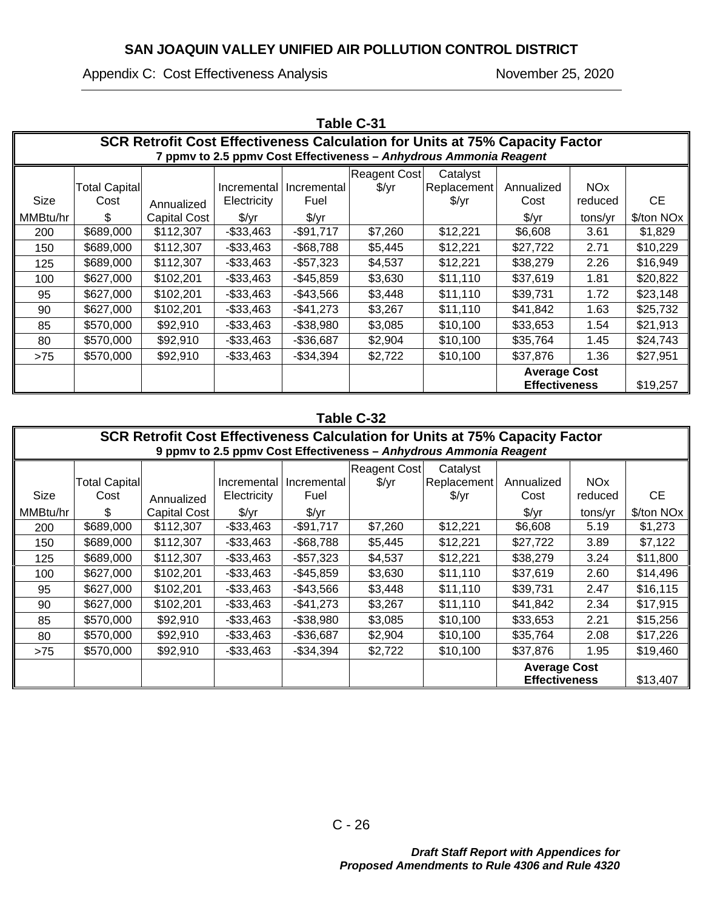#### Appendix C: Cost Effectiveness Analysis November 25, 2020

| Table C-31                                                                                                                                        |                      |                     |                 |                 |                                        |                         |                      |                       |            |  |  |  |
|---------------------------------------------------------------------------------------------------------------------------------------------------|----------------------|---------------------|-----------------|-----------------|----------------------------------------|-------------------------|----------------------|-----------------------|------------|--|--|--|
| SCR Retrofit Cost Effectiveness Calculation for Units at 75% Capacity Factor<br>7 ppmv to 2.5 ppmv Cost Effectiveness - Anhydrous Ammonia Reagent |                      |                     |                 |                 |                                        |                         |                      |                       |            |  |  |  |
|                                                                                                                                                   |                      |                     |                 |                 |                                        |                         |                      |                       |            |  |  |  |
|                                                                                                                                                   | <b>Total Capital</b> |                     | Incremental     | Incremental     | <b>Reagent Cost</b><br>$\sqrt[6]{y}$ r | Catalyst<br>Replacement | Annualized           | <b>NO<sub>x</sub></b> |            |  |  |  |
| Size                                                                                                                                              | Cost                 | Annualized          | Electricity     | Fuel            |                                        | $\frac{f}{f}$           | Cost                 | reduced               | CE.        |  |  |  |
| MMBtu/hr                                                                                                                                          | \$                   | <b>Capital Cost</b> | $\sqrt[6]{y}$ r | $\sqrt[6]{y}$ r |                                        |                         | $\frac{f}{f}$        | tons/yr               | \$/ton NOx |  |  |  |
| 200                                                                                                                                               | \$689,000            | \$112,307           | $-$ \$33,463    | $-$ \$91,717    | \$7,260                                | \$12,221                | \$6,608              | 3.61                  | \$1,829    |  |  |  |
| 150                                                                                                                                               | \$689,000            | \$112,307           | $-$ \$33,463    | $-$ \$68,788    | \$5,445                                | \$12,221                | \$27,722             | 2.71                  | \$10,229   |  |  |  |
| 125                                                                                                                                               | \$689,000            | \$112,307           | $-$ \$33,463    | $-$57,323$      | \$4,537                                | \$12,221                | \$38,279             | 2.26                  | \$16,949   |  |  |  |
| 100                                                                                                                                               | \$627,000            | \$102,201           | -\$33,463       | $-$ \$45,859    | \$3,630                                | \$11,110                | \$37,619             | 1.81                  | \$20,822   |  |  |  |
| 95                                                                                                                                                | \$627,000            | \$102,201           | $-$ \$33,463    | $-$ \$43,566    | \$3,448                                | \$11,110                | \$39,731             | 1.72                  | \$23,148   |  |  |  |
| 90                                                                                                                                                | \$627,000            | \$102,201           | $-$ \$33,463    | $-$ \$41,273    | \$3,267                                | \$11,110                | \$41,842             | 1.63                  | \$25,732   |  |  |  |
| 85                                                                                                                                                | \$570,000            | \$92,910            | $-$ \$33,463    | $-$ \$38,980    | \$3,085                                | \$10,100                | \$33,653             | 1.54                  | \$21,913   |  |  |  |
| 80                                                                                                                                                | \$570,000            | \$92,910            | -\$33,463       | $-$36,687$      | \$2,904                                | \$10,100                | \$35,764             | 1.45                  | \$24,743   |  |  |  |
| $>75$                                                                                                                                             | \$570,000            | \$92,910            | $-$ \$33,463    | $-$34,394$      | \$2,722                                | \$10,100                | \$37,876             | 1.36                  | \$27,951   |  |  |  |
|                                                                                                                                                   |                      |                     |                 |                 |                                        |                         | <b>Average Cost</b>  |                       |            |  |  |  |
|                                                                                                                                                   |                      |                     |                 |                 |                                        |                         | <b>Effectiveness</b> |                       | \$19,257   |  |  |  |

#### **Table C-32**

#### **SCR Retrofit Cost Effectiveness Calculation for Units at 75% Capacity Factor 9 ppmv to 2.5 ppmv Cost Effectiveness –** *Anhydrous Ammonia Reagent*

|          |                      |                     |                 |               | <b>Reagent Cost</b> | Catalyst      |                      |                       |                        |
|----------|----------------------|---------------------|-----------------|---------------|---------------------|---------------|----------------------|-----------------------|------------------------|
|          | <b>Total Capital</b> |                     | Incremental     | Incremental   | $\frac{f}{f}$       | Replacement   | Annualized           | <b>NO<sub>x</sub></b> |                        |
| Size     | Cost                 | Annualized          | Electricity     | Fuel          |                     | $\frac{f}{f}$ | Cost                 | reduced               | CE                     |
| MMBtu/hr | \$                   | <b>Capital Cost</b> | $\sqrt[6]{y}$ r | $\frac{f}{f}$ |                     |               | $\sqrt[6]{y}$ r      | tons/yr               | \$/ton NO <sub>x</sub> |
| 200      | \$689,000            | \$112,307           | $-$33,463$      | $-$91,717$    | \$7,260             | \$12,221      | \$6,608              | 5.19                  | \$1,273                |
| 150      | \$689,000            | \$112,307           | $-$ \$33,463    | $-$ \$68,788  | \$5,445             | \$12,221      | \$27,722             | 3.89                  | \$7,122                |
| 125      | \$689,000            | \$112,307           | $-$ \$33,463    | $-$57,323$    | \$4,537             | \$12,221      | \$38,279             | 3.24                  | \$11,800               |
| 100      | \$627,000            | \$102,201           | $-$ \$33,463    | $-$45,859$    | \$3,630             | \$11,110      | \$37,619             | 2.60                  | \$14,496               |
| 95       | \$627,000            | \$102,201           | $- $33,463$     | $-$43,566$    | \$3,448             | \$11,110      | \$39,731             | 2.47                  | \$16,115               |
| 90       | \$627,000            | \$102,201           | $-$ \$33,463    | $-$ \$41,273  | \$3,267             | \$11,110      | \$41,842             | 2.34                  | \$17,915               |
| 85       | \$570,000            | \$92,910            | $-$ \$33,463    | $-$ \$38,980  | \$3,085             | \$10,100      | \$33,653             | 2.21                  | \$15,256               |
| 80       | \$570,000            | \$92,910            | $-$ \$33,463    | $-$36,687$    | \$2,904             | \$10,100      | \$35,764             | 2.08                  | \$17,226               |
| $>75$    | \$570,000            | \$92,910            | $-$ \$33,463    | $-$34,394$    | \$2,722             | \$10,100      | \$37,876             | 1.95                  | \$19,460               |
|          |                      |                     |                 |               |                     |               | <b>Average Cost</b>  |                       |                        |
|          |                      |                     |                 |               |                     |               | <b>Effectiveness</b> |                       | \$13,407               |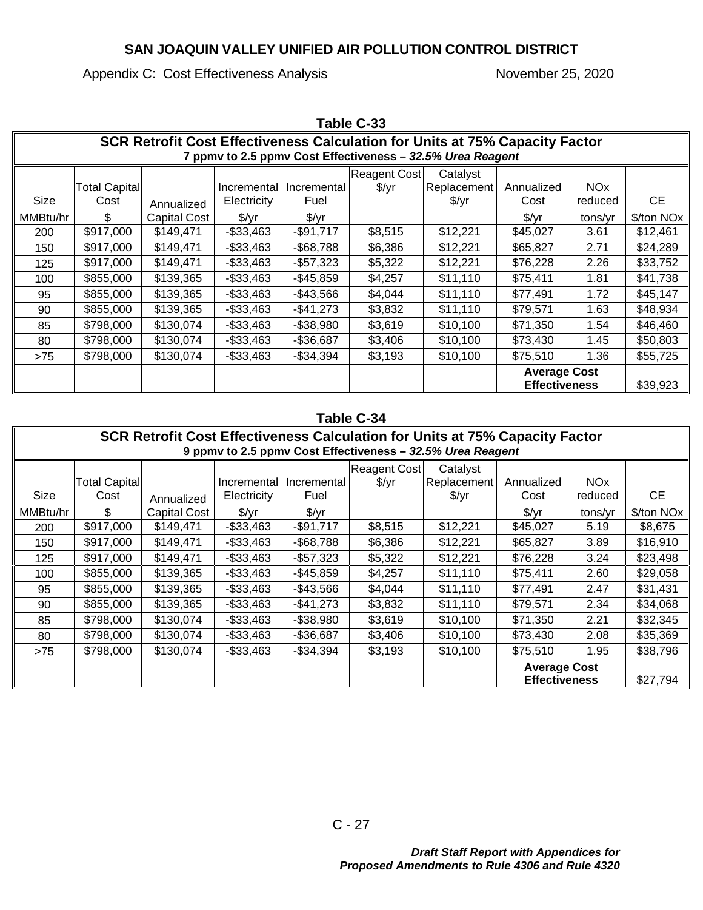#### Appendix C: Cost Effectiveness Analysis November 25, 2020

| Table C-33                                                                                                                                 |                      |                     |                 |                 |                     |               |                      |                 |            |  |  |  |
|--------------------------------------------------------------------------------------------------------------------------------------------|----------------------|---------------------|-----------------|-----------------|---------------------|---------------|----------------------|-----------------|------------|--|--|--|
| SCR Retrofit Cost Effectiveness Calculation for Units at 75% Capacity Factor<br>7 ppmv to 2.5 ppmv Cost Effectiveness - 32.5% Urea Reagent |                      |                     |                 |                 |                     |               |                      |                 |            |  |  |  |
|                                                                                                                                            |                      |                     |                 |                 |                     |               |                      |                 |            |  |  |  |
|                                                                                                                                            |                      |                     |                 |                 | <b>Reagent Cost</b> | Catalyst      |                      |                 |            |  |  |  |
|                                                                                                                                            | <b>Total Capital</b> |                     | Incremental     | Incremental     | $\frac{f}{f}$       | Replacement   | Annualized           | NO <sub>x</sub> |            |  |  |  |
| Size                                                                                                                                       | Cost                 | Annualized          | Electricity     | Fuel            |                     | $\frac{f}{f}$ | Cost                 | reduced         | CE.        |  |  |  |
| MMBtu/hr                                                                                                                                   | \$.                  | <b>Capital Cost</b> | $\sqrt[6]{y}$ r | $\sqrt[6]{y}$ r |                     |               | $\frac{f}{f}$        | tons/yr         | \$/ton NOx |  |  |  |
| 200                                                                                                                                        | \$917,000            | \$149,471           | $-$ \$33,463    | $-$91,717$      | \$8,515             | \$12,221      | \$45,027             | 3.61            | \$12,461   |  |  |  |
| 150                                                                                                                                        | \$917,000            | \$149,471           | $-$ \$33,463    | $-$ \$68,788    | \$6,386             | \$12,221      | \$65,827             | 2.71            | \$24,289   |  |  |  |
| 125                                                                                                                                        | \$917,000            | \$149,471           | $-$ \$33,463    | $-$57,323$      | \$5,322             | \$12,221      | \$76,228             | 2.26            | \$33,752   |  |  |  |
| 100                                                                                                                                        | \$855,000            | \$139,365           | $-$ \$33,463    | $-$ \$45,859    | \$4,257             | \$11,110      | \$75,411             | 1.81            | \$41,738   |  |  |  |
| 95                                                                                                                                         | \$855,000            | \$139,365           | $-$ \$33,463    | $-$ \$43,566    | \$4,044             | \$11,110      | \$77,491             | 1.72            | \$45,147   |  |  |  |
| 90                                                                                                                                         | \$855,000            | \$139,365           | $-$ \$33,463    | $-$ \$41,273    | \$3,832             | \$11,110      | \$79,571             | 1.63            | \$48,934   |  |  |  |
| 85                                                                                                                                         | \$798,000            | \$130,074           | $-$ \$33,463    | $-$ \$38,980    | \$3,619             | \$10,100      | \$71,350             | 1.54            | \$46,460   |  |  |  |
| 80                                                                                                                                         | \$798,000            | \$130,074           | $-$ \$33,463    | $-$36,687$      | \$3,406             | \$10,100      | \$73,430             | 1.45            | \$50,803   |  |  |  |
| $>75$                                                                                                                                      | \$798,000            | \$130,074           | $-$ \$33,463    | $-$ \$34,394    | \$3,193             | \$10,100      | \$75,510             | 1.36            | \$55,725   |  |  |  |
|                                                                                                                                            |                      |                     |                 |                 |                     |               | <b>Average Cost</b>  |                 |            |  |  |  |
|                                                                                                                                            |                      |                     |                 |                 |                     |               | <b>Effectiveness</b> |                 | \$39,923   |  |  |  |

#### **Table C-34**

#### **SCR Retrofit Cost Effectiveness Calculation for Units at 75% Capacity Factor 9 ppmv to 2.5 ppmv Cost Effectiveness –** *32.5% Urea Reagent*

|          |                      |              |                 |               | <b>Reagent Cost</b> | Catalyst      |                      |                 |                        |
|----------|----------------------|--------------|-----------------|---------------|---------------------|---------------|----------------------|-----------------|------------------------|
|          | <b>Total Capital</b> |              | Incremental     | Incremental   | $\frac{f}{f}$       | Replacement   | Annualized           | NO <sub>x</sub> |                        |
| Size     | Cost                 | Annualized   | Electricity     | Fuel          |                     | $\frac{f}{f}$ | Cost                 | reduced         | CE                     |
| MMBtu/hr | \$                   | Capital Cost | $\sqrt[6]{y}$ r | $\frac{f}{f}$ |                     |               | $\sqrt[6]{y}$ r      | tons/yr         | \$/ton NO <sub>x</sub> |
| 200      | \$917,000            | \$149,471    | $-$ \$33,463    | $-$91,717$    | \$8,515             | \$12,221      | \$45,027             | 5.19            | \$8,675                |
| 150      | \$917,000            | \$149,471    | $-$ \$33,463    | $-$ \$68,788  | \$6,386             | \$12,221      | \$65,827             | 3.89            | \$16,910               |
| 125      | \$917,000            | \$149,471    | $-$ \$33,463    | $-$57,323$    | \$5,322             | \$12,221      | \$76,228             | 3.24            | \$23,498               |
| 100      | \$855,000            | \$139,365    | $-$ \$33,463    | $-$ \$45,859  | \$4,257             | \$11,110      | \$75,411             | 2.60            | \$29,058               |
| 95       | \$855,000            | \$139,365    | $-$ \$33,463    | $-$43,566$    | \$4,044             | \$11,110      | \$77,491             | 2.47            | \$31,431               |
| 90       | \$855,000            | \$139,365    | $-$ \$33,463    | $-$41,273$    | \$3,832             | \$11,110      | \$79,571             | 2.34            | \$34,068               |
| 85       | \$798,000            | \$130,074    | $-$ \$33,463    | $-$ \$38,980  | \$3,619             | \$10,100      | \$71,350             | 2.21            | \$32,345               |
| 80       | \$798,000            | \$130,074    | $-$ \$33,463    | $-$36,687$    | \$3,406             | \$10,100      | \$73,430             | 2.08            | \$35,369               |
| $>75$    | \$798,000            | \$130,074    | $-$ \$33,463    | $-$ \$34,394  | \$3,193             | \$10,100      | \$75,510             | 1.95            | \$38,796               |
|          |                      |              |                 |               |                     |               | <b>Average Cost</b>  |                 |                        |
|          |                      |              |                 |               |                     |               | <b>Effectiveness</b> |                 | \$27,794               |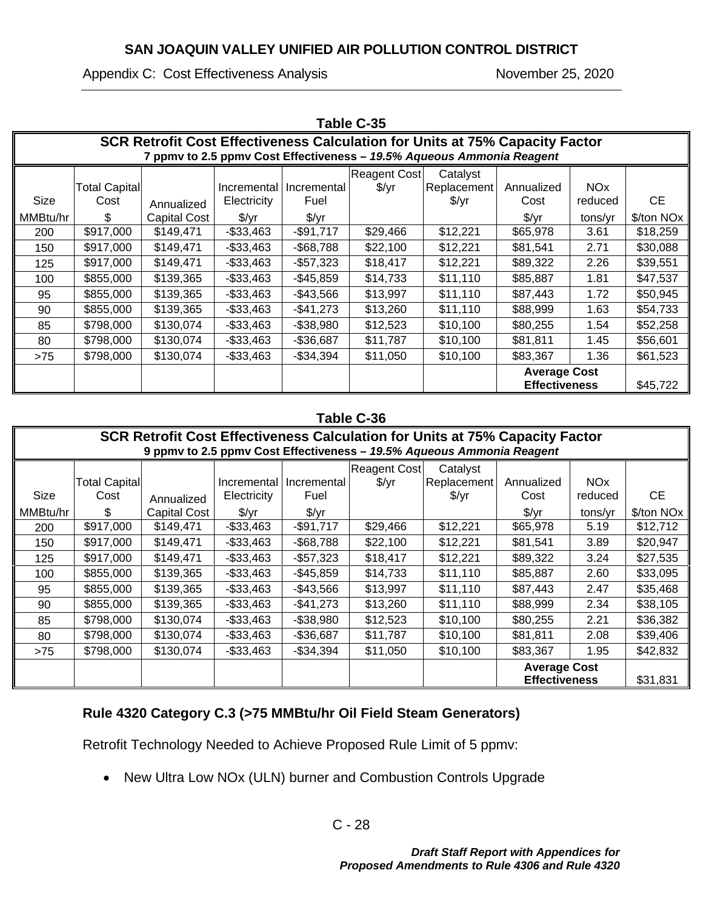#### Appendix C: Cost Effectiveness Analysis November 25, 2020

| <b>Table C-35</b>                                                                                                                                     |                      |              |                 |               |                     |             |                      |                       |            |  |  |  |
|-------------------------------------------------------------------------------------------------------------------------------------------------------|----------------------|--------------|-----------------|---------------|---------------------|-------------|----------------------|-----------------------|------------|--|--|--|
| SCR Retrofit Cost Effectiveness Calculation for Units at 75% Capacity Factor<br>7 ppmv to 2.5 ppmv Cost Effectiveness - 19.5% Aqueous Ammonia Reagent |                      |              |                 |               |                     |             |                      |                       |            |  |  |  |
|                                                                                                                                                       |                      |              |                 |               | <b>Reagent Cost</b> | Catalyst    |                      |                       |            |  |  |  |
|                                                                                                                                                       | <b>Total Capital</b> |              | Incremental     | Incremental   | $\sqrt[6]{y}$ r     | Replacement | Annualized           | <b>NO<sub>x</sub></b> |            |  |  |  |
| Size                                                                                                                                                  | Cost                 | Annualized   | Electricity     | Fuel          |                     | \$/yr       | Cost                 | reduced               | CE.        |  |  |  |
| MMBtu/hr                                                                                                                                              | S                    | Capital Cost | $\sqrt[6]{y}$ r | $\frac{f}{f}$ |                     |             | $\frac{f}{f}$        | tons/yr               | \$/ton NOx |  |  |  |
| 200                                                                                                                                                   | \$917,000            | \$149,471    | $-$ \$33,463    | $-$ \$91,717  | \$29,466            | \$12,221    | \$65,978             | 3.61                  | \$18,259   |  |  |  |
| 150                                                                                                                                                   | \$917,000            | \$149,471    | -\$33,463       | $-$ \$68,788  | \$22,100            | \$12,221    | \$81,541             | 2.71                  | \$30,088   |  |  |  |
| 125                                                                                                                                                   | \$917,000            | \$149,471    | $-$ \$33,463    | $-$ \$57,323  | \$18,417            | \$12,221    | \$89,322             | 2.26                  | \$39,551   |  |  |  |
| 100                                                                                                                                                   | \$855,000            | \$139,365    | $-$ \$33,463    | $-$ \$45,859  | \$14,733            | \$11,110    | \$85,887             | 1.81                  | \$47,537   |  |  |  |
| 95                                                                                                                                                    | \$855,000            | \$139,365    | -\$33,463       | $-$ \$43,566  | \$13,997            | \$11,110    | \$87,443             | 1.72                  | \$50,945   |  |  |  |
| 90                                                                                                                                                    | \$855,000            | \$139,365    | -\$33,463       | $-$ \$41,273  | \$13,260            | \$11,110    | \$88,999             | 1.63                  | \$54,733   |  |  |  |
| 85                                                                                                                                                    | \$798,000            | \$130,074    | -\$33,463       | $-$ \$38,980  | \$12,523            | \$10,100    | \$80,255             | 1.54                  | \$52,258   |  |  |  |
| 80                                                                                                                                                    | \$798,000            | \$130,074    | $- $33,463$     | $-$36,687$    | \$11,787            | \$10,100    | \$81,811             | 1.45                  | \$56,601   |  |  |  |
| $>75$                                                                                                                                                 | \$798,000            | \$130,074    | -\$33,463       | $-$34,394$    | \$11,050            | \$10,100    | \$83,367             | 1.36                  | \$61,523   |  |  |  |
|                                                                                                                                                       |                      |              |                 |               |                     |             | <b>Average Cost</b>  |                       |            |  |  |  |
|                                                                                                                                                       |                      |              |                 |               |                     |             | <b>Effectiveness</b> |                       | \$45,722   |  |  |  |

#### **Table C-36**

#### **SCR Retrofit Cost Effectiveness Calculation for Units at 75% Capacity Factor 9 ppmv to 2.5 ppmv Cost Effectiveness –** *19.5% Aqueous Ammonia Reagent*

|          |                      |                     |                 |               | <b>Reagent Cost</b> | Catalyst      |                      |                 |                        |
|----------|----------------------|---------------------|-----------------|---------------|---------------------|---------------|----------------------|-----------------|------------------------|
|          | <b>Total Capital</b> |                     | Incremental     | Incremental   | $\frac{f}{f}$       | Replacement   | Annualized           | NO <sub>x</sub> |                        |
| Size     | Cost                 | Annualized          | Electricity     | Fuel          |                     | $\frac{f}{f}$ | Cost                 | reduced         | CE.                    |
| MMBtu/hr | \$                   | <b>Capital Cost</b> | $\sqrt[6]{y}$ r | $\frac{f}{f}$ |                     |               | $\sqrt[6]{y}$ r      | tons/yr         | \$/ton NO <sub>x</sub> |
| 200      | \$917,000            | \$149,471           | $-$ \$33,463    | $-$91,717$    | \$29,466            | \$12,221      | \$65,978             | 5.19            | \$12,712               |
| 150      | \$917,000            | \$149,471           | $-$ \$33,463    | $-$ \$68,788  | \$22,100            | \$12,221      | \$81,541             | 3.89            | \$20,947               |
| 125      | \$917,000            | \$149,471           | $-$ \$33,463    | $-$57,323$    | \$18,417            | \$12,221      | \$89,322             | 3.24            | \$27,535               |
| 100      | \$855,000            | \$139,365           | $-$ \$33,463    | $-$45,859$    | \$14,733            | \$11,110      | \$85,887             | 2.60            | \$33,095               |
| 95       | \$855,000            | \$139,365           | $-$ \$33,463    | $-$ \$43,566  | \$13,997            | \$11,110      | \$87,443             | 2.47            | \$35,468               |
| 90       | \$855,000            | \$139,365           | $-$ \$33,463    | $-$ \$41,273  | \$13,260            | \$11,110      | \$88,999             | 2.34            | \$38,105               |
| 85       | \$798,000            | \$130,074           | $-$ \$33,463    | $-$ \$38,980  | \$12,523            | \$10,100      | \$80,255             | 2.21            | \$36,382               |
| 80       | \$798,000            | \$130,074           | $-$ \$33,463    | $-$36,687$    | \$11,787            | \$10,100      | \$81,811             | 2.08            | \$39,406               |
| $>75$    | \$798,000            | \$130,074           | $-$ \$33,463    | $-$ \$34,394  | \$11,050            | \$10,100      | \$83,367             | 1.95            | \$42,832               |
|          |                      |                     |                 |               |                     |               | <b>Average Cost</b>  |                 |                        |
|          |                      |                     |                 |               |                     |               | <b>Effectiveness</b> |                 | \$31,831               |

# **Rule 4320 Category C.3 (>75 MMBtu/hr Oil Field Steam Generators)**

Retrofit Technology Needed to Achieve Proposed Rule Limit of 5 ppmv:

• New Ultra Low NOx (ULN) burner and Combustion Controls Upgrade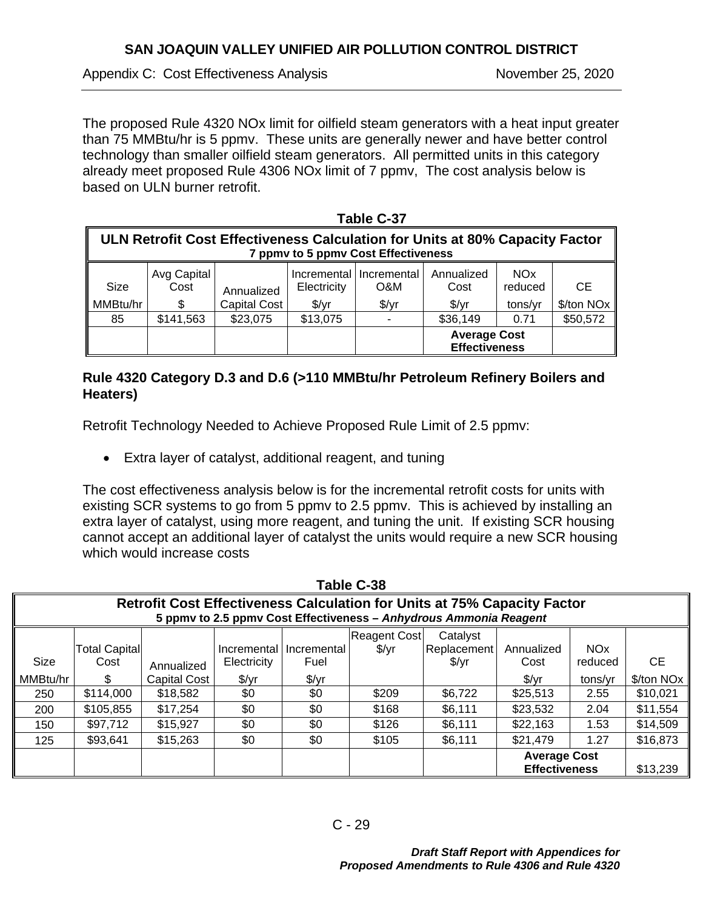#### Appendix C: Cost Effectiveness Analysis November 25, 2020

The proposed Rule 4320 NOx limit for oilfield steam generators with a heat input greater than 75 MMBtu/hr is 5 ppmv. These units are generally newer and have better control technology than smaller oilfield steam generators. All permitted units in this category already meet proposed Rule 4306 NOx limit of 7 ppmv, The cost analysis below is based on ULN burner retrofit.

**Table C-37** 

| Table C-37                                                                                                          |                           |                                   |                                             |                                     |                                             |                                       |                                     |  |  |
|---------------------------------------------------------------------------------------------------------------------|---------------------------|-----------------------------------|---------------------------------------------|-------------------------------------|---------------------------------------------|---------------------------------------|-------------------------------------|--|--|
| ULN Retrofit Cost Effectiveness Calculation for Units at 80% Capacity Factor<br>7 ppmv to 5 ppmv Cost Effectiveness |                           |                                   |                                             |                                     |                                             |                                       |                                     |  |  |
| Size<br>MMBtu/hr                                                                                                    | Avg Capital<br>Cost<br>\$ | Annualized<br><b>Capital Cost</b> | Incremental<br>Electricity<br>$\frac{f}{f}$ | Incremental<br>O&M<br>$\frac{f}{f}$ | Annualized<br>Cost<br>$\frac{f}{f}$         | NO <sub>x</sub><br>reduced<br>tons/yr | <b>CE</b><br>\$/ton NO <sub>x</sub> |  |  |
| 85                                                                                                                  | \$141,563                 | \$23,075                          | \$13,075                                    |                                     | \$36,149                                    | 0.71                                  | \$50,572                            |  |  |
|                                                                                                                     |                           |                                   |                                             |                                     | <b>Average Cost</b><br><b>Effectiveness</b> |                                       |                                     |  |  |

# **Rule 4320 Category D.3 and D.6 (>110 MMBtu/hr Petroleum Refinery Boilers and Heaters)**

Retrofit Technology Needed to Achieve Proposed Rule Limit of 2.5 ppmv:

• Extra layer of catalyst, additional reagent, and tuning

The cost effectiveness analysis below is for the incremental retrofit costs for units with existing SCR systems to go from 5 ppmv to 2.5 ppmv. This is achieved by installing an extra layer of catalyst, using more reagent, and tuning the unit. If existing SCR housing cannot accept an additional layer of catalyst the units would require a new SCR housing which would increase costs

| Table C-38                                                                                                                                           |                              |                     |                            |                     |                                        |                                            |                                             |                                  |                        |  |
|------------------------------------------------------------------------------------------------------------------------------------------------------|------------------------------|---------------------|----------------------------|---------------------|----------------------------------------|--------------------------------------------|---------------------------------------------|----------------------------------|------------------------|--|
| <b>Retrofit Cost Effectiveness Calculation for Units at 75% Capacity Factor</b><br>5 ppmv to 2.5 ppmv Cost Effectiveness - Anhydrous Ammonia Reagent |                              |                     |                            |                     |                                        |                                            |                                             |                                  |                        |  |
| Size                                                                                                                                                 | <b>Total Capital</b><br>Cost | Annualized          | Incremental<br>Electricity | Incremental<br>Fuel | <b>Reagent Cost</b><br>$\sqrt[6]{y}$ r | Catalyst<br>Replacement<br>$\sqrt[6]{y}$ r | Annualized<br>Cost                          | <b>NO<sub>x</sub></b><br>reduced | CE.                    |  |
| MMBtu/hr                                                                                                                                             | \$                           | <b>Capital Cost</b> | $\sqrt[6]{y}$ r            | $\frac{f}{f}$       |                                        |                                            | $\sqrt{$}$ /yr                              | tons/vr                          | \$/ton NO <sub>x</sub> |  |
| 250                                                                                                                                                  | \$114,000                    | \$18,582            | \$0                        | \$0                 | \$209                                  | \$6,722                                    | \$25,513                                    | 2.55                             | \$10,021               |  |
| 200                                                                                                                                                  | \$105,855                    | \$17,254            | \$0                        | \$0                 | \$168                                  | \$6,111                                    | \$23,532                                    | 2.04                             | \$11,554               |  |
| 150                                                                                                                                                  | \$97,712                     | \$15,927            | \$0                        | \$0                 | \$126                                  | \$6,111                                    | \$22,163                                    | 1.53                             | \$14,509               |  |
| 125                                                                                                                                                  | \$93,641                     | \$15,263            | \$0                        | \$0                 | \$105                                  | \$6,111                                    | \$21,479                                    | 1.27                             | \$16,873               |  |
|                                                                                                                                                      |                              |                     |                            |                     |                                        |                                            | <b>Average Cost</b><br><b>Effectiveness</b> |                                  | \$13,239               |  |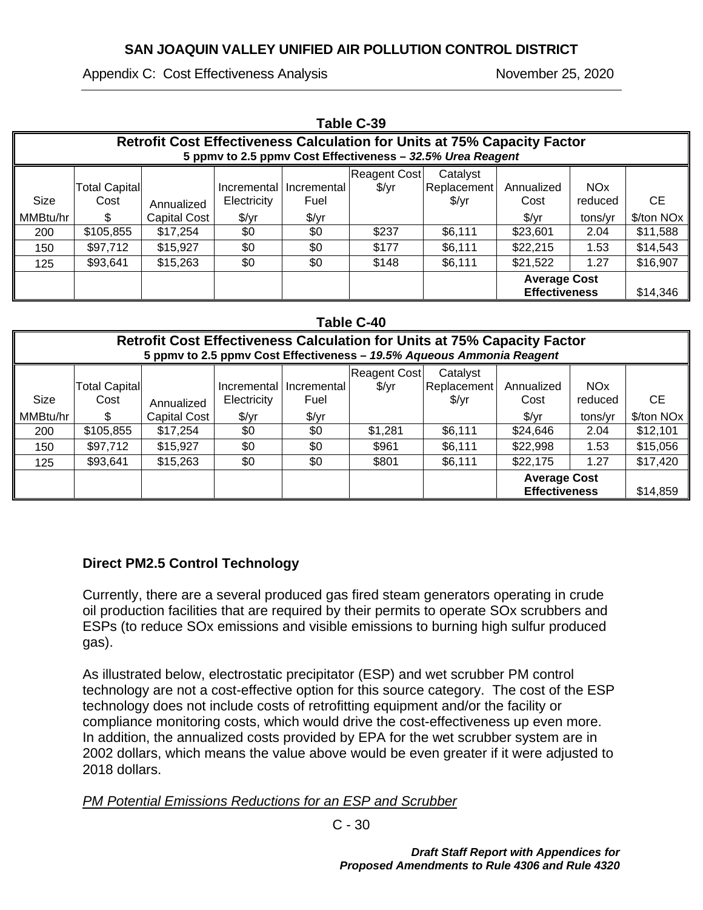Appendix C: Cost Effectiveness Analysis November 25, 2020

| Table C-39                                                                                                                                    |                              |              |               |                                     |                                      |                                          |                                             |                                  |                        |
|-----------------------------------------------------------------------------------------------------------------------------------------------|------------------------------|--------------|---------------|-------------------------------------|--------------------------------------|------------------------------------------|---------------------------------------------|----------------------------------|------------------------|
| <b>Retrofit Cost Effectiveness Calculation for Units at 75% Capacity Factor</b><br>5 ppmv to 2.5 ppmv Cost Effectiveness - 32.5% Urea Reagent |                              |              |               |                                     |                                      |                                          |                                             |                                  |                        |
| Size                                                                                                                                          | <b>Total Capital</b><br>Cost | Annualized   | Electricity   | Incremental   Incremental  <br>Fuel | <b>Reagent Cost</b><br>$\frac{f}{f}$ | Catalyst<br>Replacement<br>$\frac{f}{f}$ | Annualized<br>Cost                          | <b>NO<sub>x</sub></b><br>reduced | CE.                    |
| MMBtu/hr                                                                                                                                      |                              | Capital Cost | $\frac{f}{f}$ | $\frac{f}{f}$                       |                                      |                                          | $\sqrt{$}$ /yr                              | tons/vr                          | \$/ton NO <sub>x</sub> |
| 200                                                                                                                                           | \$105,855                    | \$17,254     | \$0           | \$0                                 | \$237                                | \$6,111                                  | \$23,601                                    | 2.04                             | \$11,588               |
| 150                                                                                                                                           | \$97,712                     | \$15,927     | \$0           | \$0                                 | \$177                                | \$6,111                                  | \$22,215                                    | 1.53                             | \$14,543               |
| 125                                                                                                                                           | \$93,641                     | \$15,263     | \$0           | \$0                                 | \$148                                | \$6,111                                  | \$21,522                                    | 1.27                             | \$16,907               |
|                                                                                                                                               |                              |              |               |                                     |                                      |                                          | <b>Average Cost</b><br><b>Effectiveness</b> |                                  | \$14,346               |

#### **Table C-40**

| <b>Retrofit Cost Effectiveness Calculation for Units at 75% Capacity Factor</b><br>5 ppmv to 2.5 ppmv Cost Effectiveness - 19.5% Aqueous Ammonia Reagent |                              |              |                            |                     |                                        |                                            |                                             |                                  |                        |
|----------------------------------------------------------------------------------------------------------------------------------------------------------|------------------------------|--------------|----------------------------|---------------------|----------------------------------------|--------------------------------------------|---------------------------------------------|----------------------------------|------------------------|
| Size                                                                                                                                                     | <b>Total Capital</b><br>Cost | Annualized   | Incremental<br>Electricity | Incremental<br>Fuel | <b>Reagent Cost</b><br>$\sqrt[6]{y}$ r | Catalyst<br>Replacement<br>$\sqrt[6]{y}$ r | Annualized<br>Cost                          | <b>NO<sub>x</sub></b><br>reduced | CE.                    |
| MMBtu/hr                                                                                                                                                 |                              | Capital Cost | $\frac{f}{f}$              | $\frac{f}{f}$       |                                        |                                            | $\frac{f}{f}$                               | tons/yr                          | \$/ton NO <sub>x</sub> |
| 200                                                                                                                                                      | \$105,855                    | \$17,254     | \$0                        | \$0                 | \$1,281                                | \$6,111                                    | \$24,646                                    | 2.04                             | \$12,101               |
| 150                                                                                                                                                      | \$97,712                     | \$15,927     | \$0                        | \$0                 | \$961                                  | \$6,111                                    | \$22,998                                    | 1.53                             | \$15,056               |
| 125                                                                                                                                                      | \$93,641                     | \$15,263     | \$0                        | \$0                 | \$801                                  | \$6,111                                    | \$22,175                                    | 1.27                             | \$17,420               |
|                                                                                                                                                          |                              |              |                            |                     |                                        |                                            | <b>Average Cost</b><br><b>Effectiveness</b> |                                  | \$14,859               |

# **Direct PM2.5 Control Technology**

Currently, there are a several produced gas fired steam generators operating in crude oil production facilities that are required by their permits to operate SOx scrubbers and ESPs (to reduce SOx emissions and visible emissions to burning high sulfur produced gas).

As illustrated below, electrostatic precipitator (ESP) and wet scrubber PM control technology are not a cost-effective option for this source category. The cost of the ESP technology does not include costs of retrofitting equipment and/or the facility or compliance monitoring costs, which would drive the cost-effectiveness up even more. In addition, the annualized costs provided by EPA for the wet scrubber system are in 2002 dollars, which means the value above would be even greater if it were adjusted to 2018 dollars.

### *PM Potential Emissions Reductions for an ESP and Scrubber*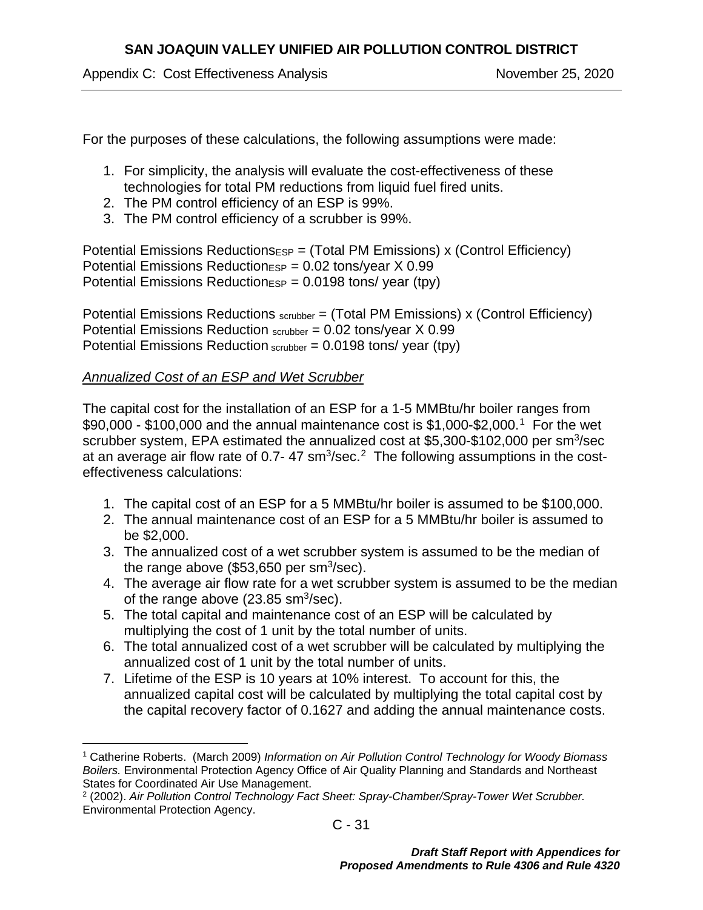For the purposes of these calculations, the following assumptions were made:

- 1. For simplicity, the analysis will evaluate the cost-effectiveness of these technologies for total PM reductions from liquid fuel fired units.
- 2. The PM control efficiency of an ESP is 99%.
- 3. The PM control efficiency of a scrubber is 99%.

Potential Emissions Reductions $_{ESP}$  = (Total PM Emissions) x (Control Efficiency) Potential Emissions Reduction $ESP = 0.02$  tons/year  $X$  0.99 Potential Emissions Reduction $ESP = 0.0198$  tons/ year (tpy)

Potential Emissions Reductions  $s_{\text{crubber}} = (Total PM Emissions) \times (Control Efficiency)$ Potential Emissions Reduction  $s$ crubber = 0.02 tons/year  $X$  0.99 Potential Emissions Reduction  $s_{\text{coubber}} = 0.0198$  tons/ year (tpy)

# *Annualized Cost of an ESP and Wet Scrubber*

The capital cost for the installation of an ESP for a 1-5 MMBtu/hr boiler ranges from \$90,000 - \$100,000 and the annual maintenance cost is \$1,000-\$2,000.[1](#page-30-0) For the wet scrubber system, EPA estimated the annualized cost at \$5,300-\$102,000 per sm<sup>3</sup>/sec at an average air flow rate of 0.7-47  $\text{sm}^3/\text{sec}^2$  The following assumptions in the costeffectiveness calculations:

- 1. The capital cost of an ESP for a 5 MMBtu/hr boiler is assumed to be \$100,000.
- 2. The annual maintenance cost of an ESP for a 5 MMBtu/hr boiler is assumed to be \$2,000.
- 3. The annualized cost of a wet scrubber system is assumed to be the median of the range above  $(\$53,650$  per sm<sup>3</sup>/sec).
- 4. The average air flow rate for a wet scrubber system is assumed to be the median of the range above  $(23.85 \text{ sm}^3/\text{sec})$ .
- 5. The total capital and maintenance cost of an ESP will be calculated by multiplying the cost of 1 unit by the total number of units.
- 6. The total annualized cost of a wet scrubber will be calculated by multiplying the annualized cost of 1 unit by the total number of units.
- 7. Lifetime of the ESP is 10 years at 10% interest. To account for this, the annualized capital cost will be calculated by multiplying the total capital cost by the capital recovery factor of 0.1627 and adding the annual maintenance costs.

<span id="page-30-0"></span>t <sup>1</sup> Catherine Roberts. (March 2009) *Information on Air Pollution Control Technology for Woody Biomass Boilers.* Environmental Protection Agency Office of Air Quality Planning and Standards and Northeast States for Coordinated Air Use Management.

<span id="page-30-1"></span><sup>2</sup> (2002). *Air Pollution Control Technology Fact Sheet: Spray-Chamber/Spray-Tower Wet Scrubber.* Environmental Protection Agency.